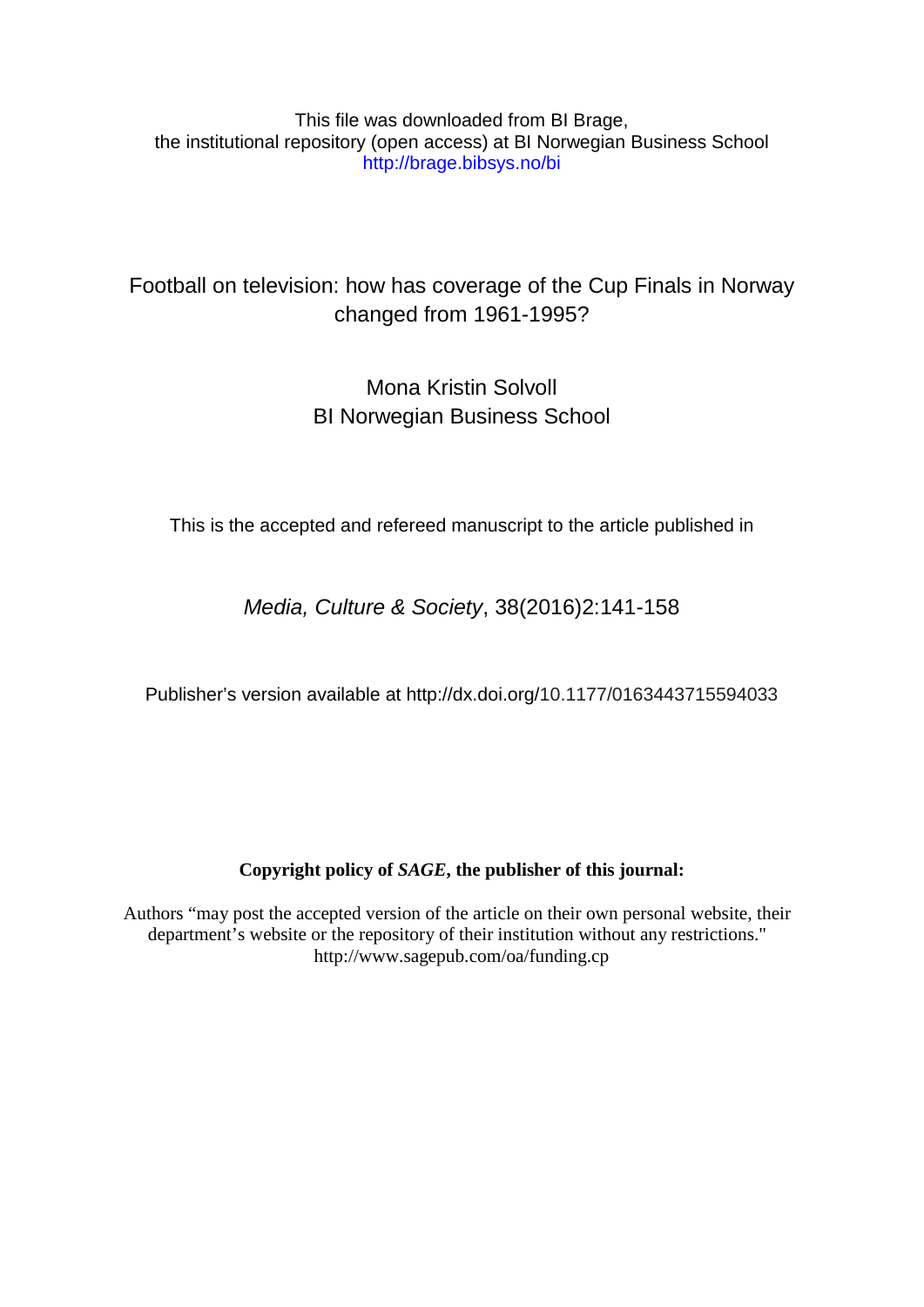This file was downloaded from BI Brage, the institutional repository (open access) at BI Norwegian Business School http://brage.bibsys.no/bi

# Football on television: how has coverage of the Cup Finals in Norway changed from 1961-1995?

# Mona Kristin Solvoll BI Norwegian Business School

This is the accepted and refereed manuscript to the article published in

*Media, Culture & Society*, 38(2016)2:141-158

Publisher's version available at http://dx.doi.org/10.1177/0163443715594033

### **Copyright policy of** *SAGE***, the publisher of this journal:**

Authors "may post the accepted version of the article on their own personal website, their department's website or the repository of their institution without any restrictions." http://www.sagepub.com/oa/funding.cp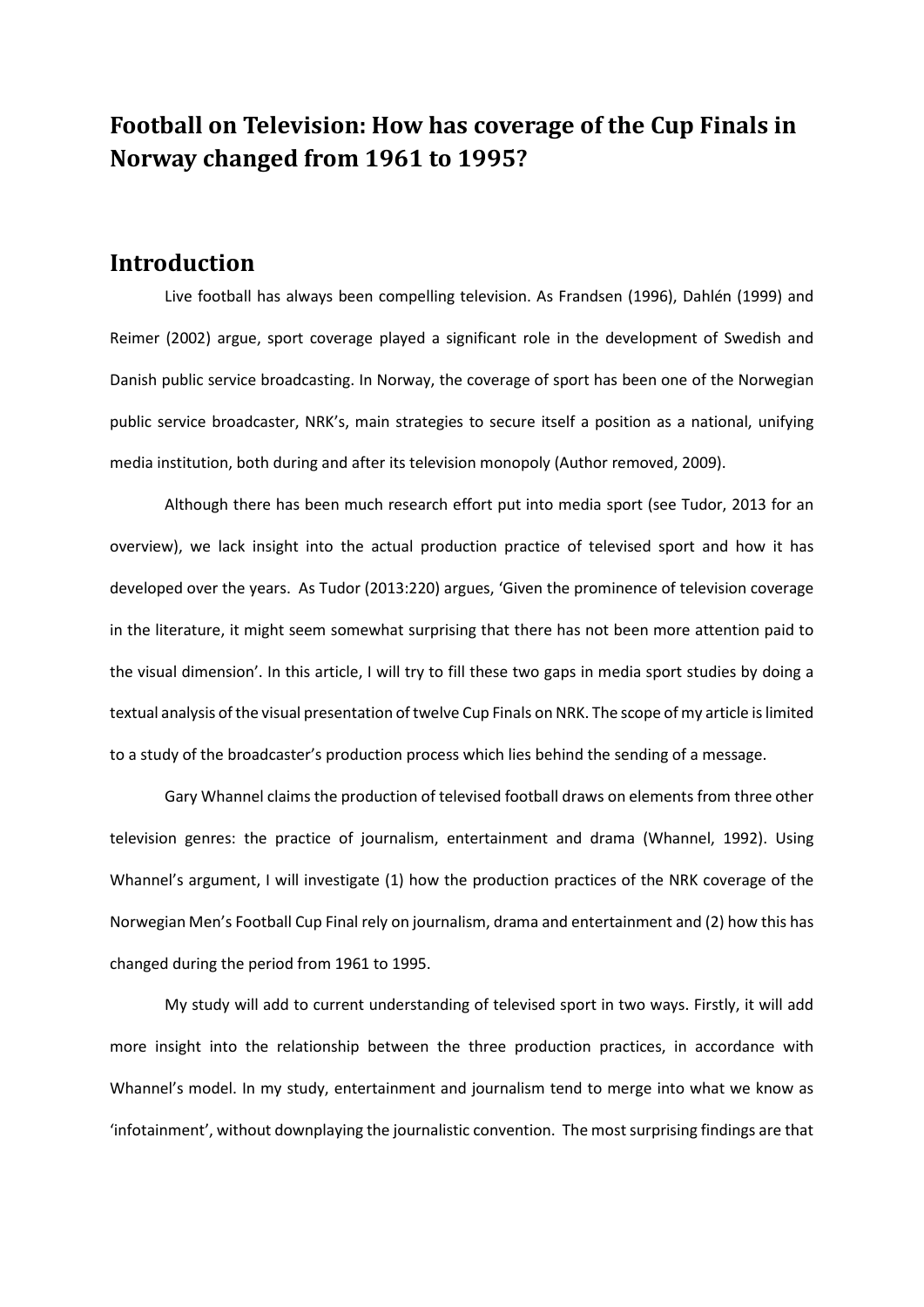# **Football on Television: How has coverage of the Cup Finals in Norway changed from 1961 to 1995?**

### **Introduction**

Live football has always been compelling television. As Frandsen (1996), Dahlén (1999) and Reimer (2002) argue, sport coverage played a significant role in the development of Swedish and Danish public service broadcasting. In Norway, the coverage of sport has been one of the Norwegian public service broadcaster, NRK's, main strategies to secure itself a position as a national, unifying media institution, both during and after its television monopoly (Author removed, 2009).

Although there has been much research effort put into media sport (see Tudor, 2013 for an overview), we lack insight into the actual production practice of televised sport and how it has developed over the years. As Tudor (2013:220) argues, 'Given the prominence of television coverage in the literature, it might seem somewhat surprising that there has not been more attention paid to the visual dimension'. In this article, I will try to fill these two gaps in media sport studies by doing a textual analysis of the visual presentation of twelve Cup Finals on NRK. The scope of my article is limited to a study of the broadcaster's production process which lies behind the sending of a message.

Gary Whannel claims the production of televised football draws on elements from three other television genres: the practice of journalism, entertainment and drama (Whannel, 1992). Using Whannel's argument, I will investigate (1) how the production practices of the NRK coverage of the Norwegian Men's Football Cup Final rely on journalism, drama and entertainment and (2) how this has changed during the period from 1961 to 1995.

My study will add to current understanding of televised sport in two ways. Firstly, it will add more insight into the relationship between the three production practices, in accordance with Whannel's model. In my study, entertainment and journalism tend to merge into what we know as 'infotainment', without downplaying the journalistic convention. The most surprising findings are that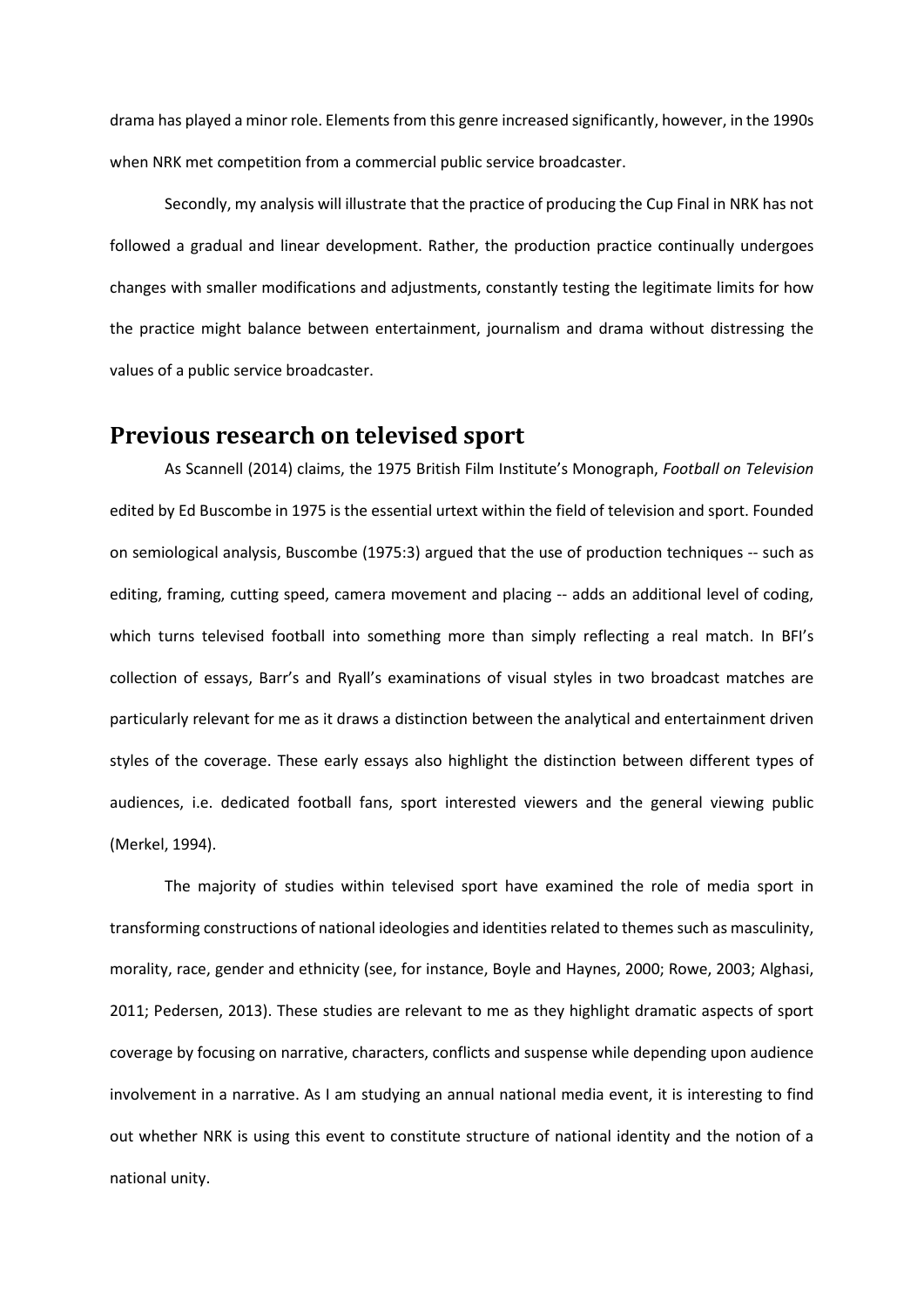drama has played a minor role. Elements from this genre increased significantly, however, in the 1990s when NRK met competition from a commercial public service broadcaster.

Secondly, my analysis will illustrate that the practice of producing the Cup Final in NRK has not followed a gradual and linear development. Rather, the production practice continually undergoes changes with smaller modifications and adjustments, constantly testing the legitimate limits for how the practice might balance between entertainment, journalism and drama without distressing the values of a public service broadcaster.

### **Previous research on televised sport**

As Scannell (2014) claims, the 1975 British Film Institute's Monograph, *Football on Television* edited by Ed Buscombe in 1975 is the essential urtext within the field of television and sport. Founded on semiological analysis, Buscombe (1975:3) argued that the use of production techniques -- such as editing, framing, cutting speed, camera movement and placing -- adds an additional level of coding, which turns televised football into something more than simply reflecting a real match. In BFI's collection of essays, Barr's and Ryall's examinations of visual styles in two broadcast matches are particularly relevant for me as it draws a distinction between the analytical and entertainment driven styles of the coverage. These early essays also highlight the distinction between different types of audiences, i.e. dedicated football fans, sport interested viewers and the general viewing public (Merkel, 1994).

The majority of studies within televised sport have examined the role of media sport in transforming constructions of national ideologies and identities related to themes such as masculinity, morality, race, gender and ethnicity (see, for instance, Boyle and Haynes, 2000; Rowe, 2003; Alghasi, 2011; Pedersen, 2013). These studies are relevant to me as they highlight dramatic aspects of sport coverage by focusing on narrative, characters, conflicts and suspense while depending upon audience involvement in a narrative. As I am studying an annual national media event, it is interesting to find out whether NRK is using this event to constitute structure of national identity and the notion of a national unity.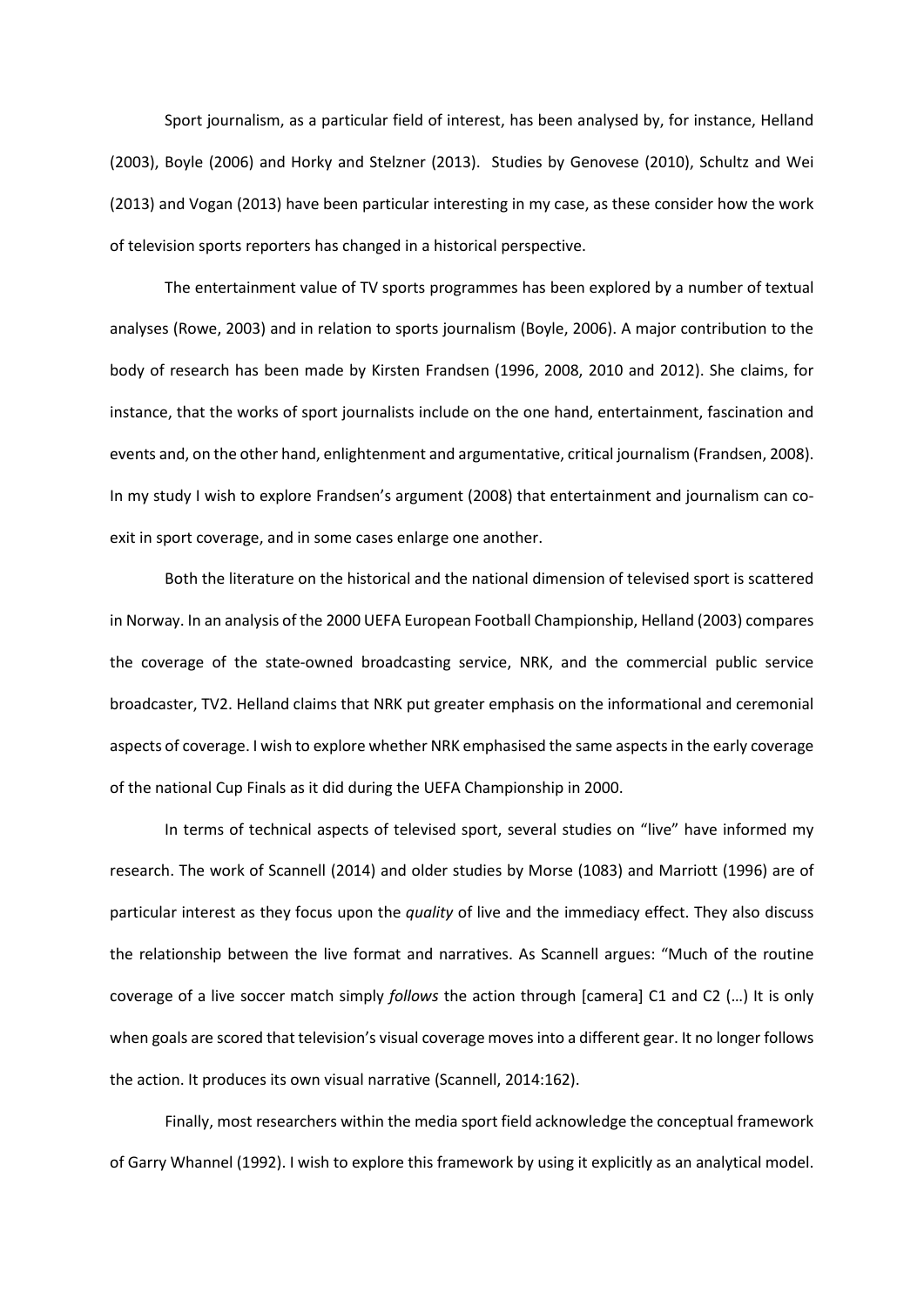Sport journalism, as a particular field of interest, has been analysed by, for instance, Helland (2003), Boyle (2006) and Horky and Stelzner (2013). Studies by Genovese (2010), Schultz and Wei (2013) and Vogan (2013) have been particular interesting in my case, as these consider how the work of television sports reporters has changed in a historical perspective.

The entertainment value of TV sports programmes has been explored by a number of textual analyses (Rowe, 2003) and in relation to sports journalism (Boyle, 2006). A major contribution to the body of research has been made by Kirsten Frandsen (1996, 2008, 2010 and 2012). She claims, for instance, that the works of sport journalists include on the one hand, entertainment, fascination and events and, on the other hand, enlightenment and argumentative, critical journalism (Frandsen, 2008). In my study I wish to explore Frandsen's argument (2008) that entertainment and journalism can coexit in sport coverage, and in some cases enlarge one another.

Both the literature on the historical and the national dimension of televised sport is scattered in Norway. In an analysis of the 2000 UEFA European Football Championship, Helland (2003) compares the coverage of the state-owned broadcasting service, NRK, and the commercial public service broadcaster, TV2. Helland claims that NRK put greater emphasis on the informational and ceremonial aspects of coverage. I wish to explore whether NRK emphasised the same aspects in the early coverage of the national Cup Finals as it did during the UEFA Championship in 2000.

In terms of technical aspects of televised sport, several studies on "live" have informed my research. The work of Scannell (2014) and older studies by Morse (1083) and Marriott (1996) are of particular interest as they focus upon the *quality* of live and the immediacy effect. They also discuss the relationship between the live format and narratives. As Scannell argues: "Much of the routine coverage of a live soccer match simply *follows* the action through [camera] C1 and C2 (…) It is only when goals are scored that television's visual coverage moves into a different gear. It no longer follows the action. It produces its own visual narrative (Scannell, 2014:162).

Finally, most researchers within the media sport field acknowledge the conceptual framework of Garry Whannel (1992). I wish to explore this framework by using it explicitly as an analytical model.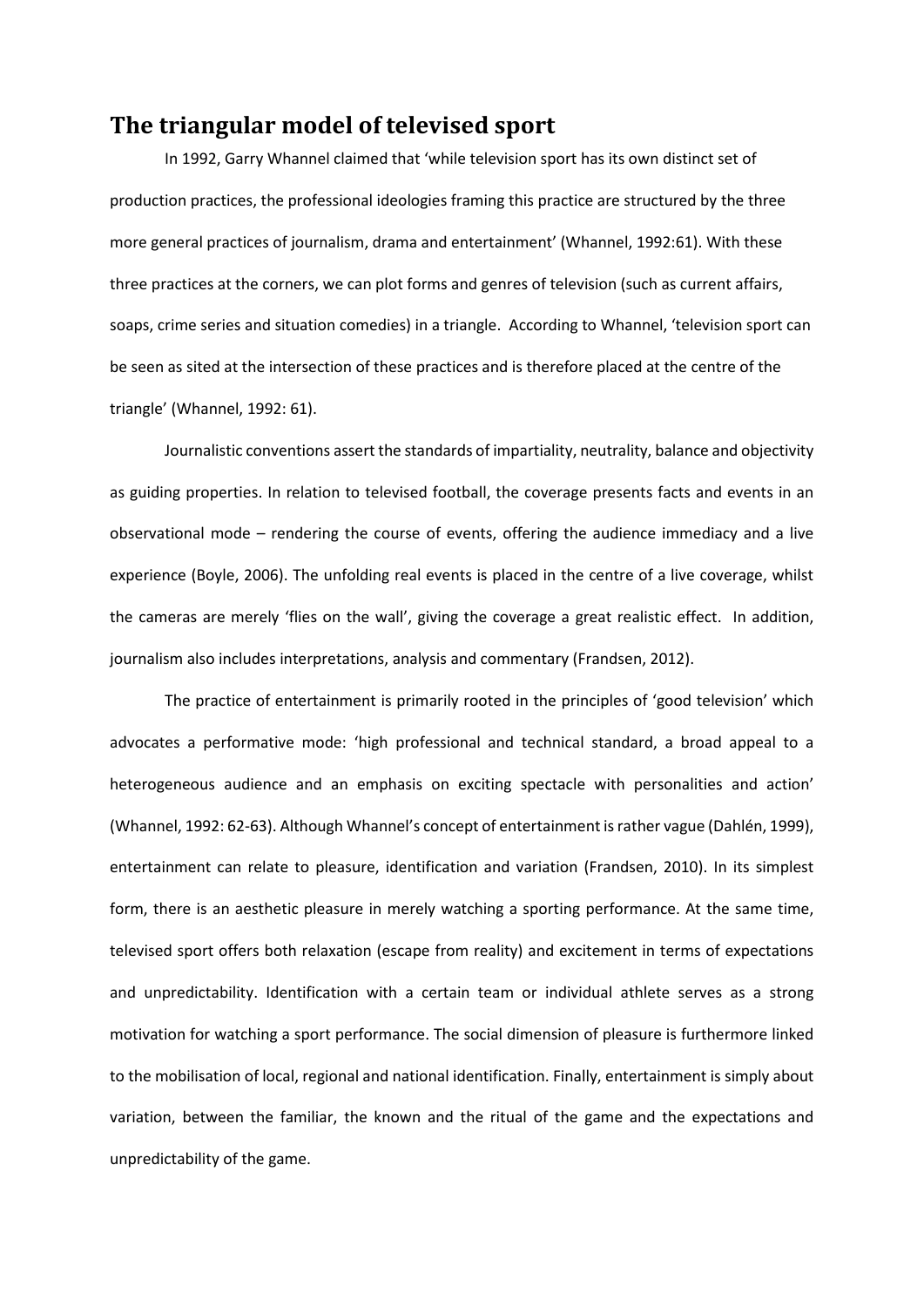## **The triangular model of televised sport**

In 1992, Garry Whannel claimed that 'while television sport has its own distinct set of production practices, the professional ideologies framing this practice are structured by the three more general practices of journalism, drama and entertainment' (Whannel, 1992:61). With these three practices at the corners, we can plot forms and genres of television (such as current affairs, soaps, crime series and situation comedies) in a triangle. According to Whannel, 'television sport can be seen as sited at the intersection of these practices and is therefore placed at the centre of the triangle' (Whannel, 1992: 61).

Journalistic conventions assert the standards of impartiality, neutrality, balance and objectivity as guiding properties. In relation to televised football, the coverage presents facts and events in an observational mode – rendering the course of events, offering the audience immediacy and a live experience (Boyle, 2006). The unfolding real events is placed in the centre of a live coverage, whilst the cameras are merely 'flies on the wall', giving the coverage a great realistic effect. In addition, journalism also includes interpretations, analysis and commentary (Frandsen, 2012).

The practice of entertainment is primarily rooted in the principles of 'good television' which advocates a performative mode: 'high professional and technical standard, a broad appeal to a heterogeneous audience and an emphasis on exciting spectacle with personalities and action' (Whannel, 1992: 62-63). Although Whannel's concept of entertainment is rather vague (Dahlén, 1999), entertainment can relate to pleasure, identification and variation (Frandsen, 2010). In its simplest form, there is an aesthetic pleasure in merely watching a sporting performance. At the same time, televised sport offers both relaxation (escape from reality) and excitement in terms of expectations and unpredictability. Identification with a certain team or individual athlete serves as a strong motivation for watching a sport performance. The social dimension of pleasure is furthermore linked to the mobilisation of local, regional and national identification. Finally, entertainment is simply about variation, between the familiar, the known and the ritual of the game and the expectations and unpredictability of the game.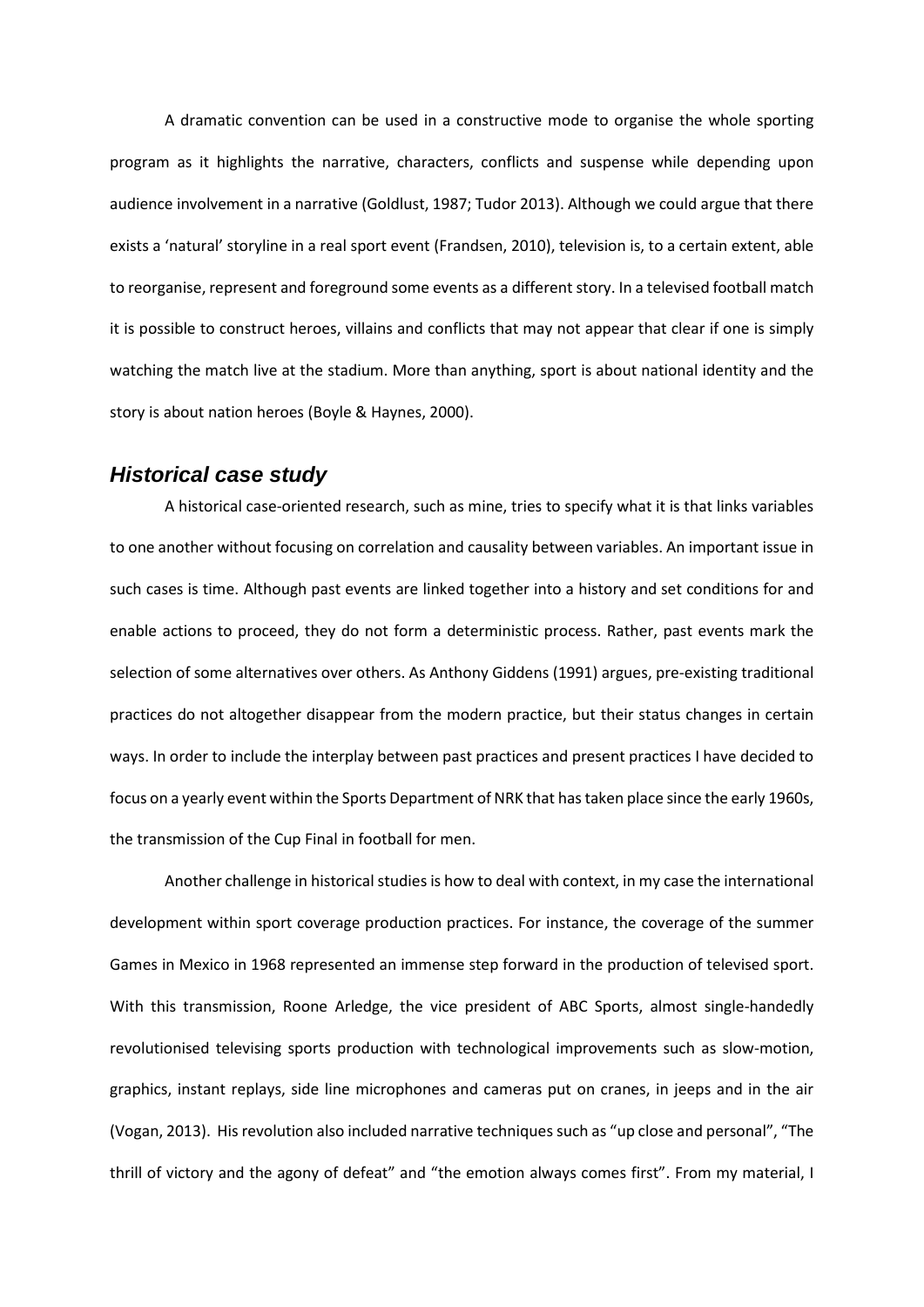A dramatic convention can be used in a constructive mode to organise the whole sporting program as it highlights the narrative, characters, conflicts and suspense while depending upon audience involvement in a narrative (Goldlust, 1987; Tudor 2013). Although we could argue that there exists a 'natural' storyline in a real sport event (Frandsen, 2010), television is, to a certain extent, able to reorganise, represent and foreground some events as a different story. In a televised football match it is possible to construct heroes, villains and conflicts that may not appear that clear if one is simply watching the match live at the stadium. More than anything, sport is about national identity and the story is about nation heroes (Boyle & Haynes, 2000).

#### *Historical case study*

A historical case-oriented research, such as mine, tries to specify what it is that links variables to one another without focusing on correlation and causality between variables. An important issue in such cases is time. Although past events are linked together into a history and set conditions for and enable actions to proceed, they do not form a deterministic process. Rather, past events mark the selection of some alternatives over others. As Anthony Giddens (1991) argues, pre-existing traditional practices do not altogether disappear from the modern practice, but their status changes in certain ways. In order to include the interplay between past practices and present practices I have decided to focus on a yearly event within the Sports Department of NRK that has taken place since the early 1960s, the transmission of the Cup Final in football for men.

Another challenge in historical studies is how to deal with context, in my case the international development within sport coverage production practices. For instance, the coverage of the summer Games in Mexico in 1968 represented an immense step forward in the production of televised sport. With this transmission, Roone Arledge, the vice president of ABC Sports, almost single-handedly revolutionised televising sports production with technological improvements such as slow-motion, graphics, instant replays, side line microphones and cameras put on cranes, in jeeps and in the air (Vogan, 2013). His revolution also included narrative techniques such as "up close and personal", "The thrill of victory and the agony of defeat" and "the emotion always comes first". From my material, I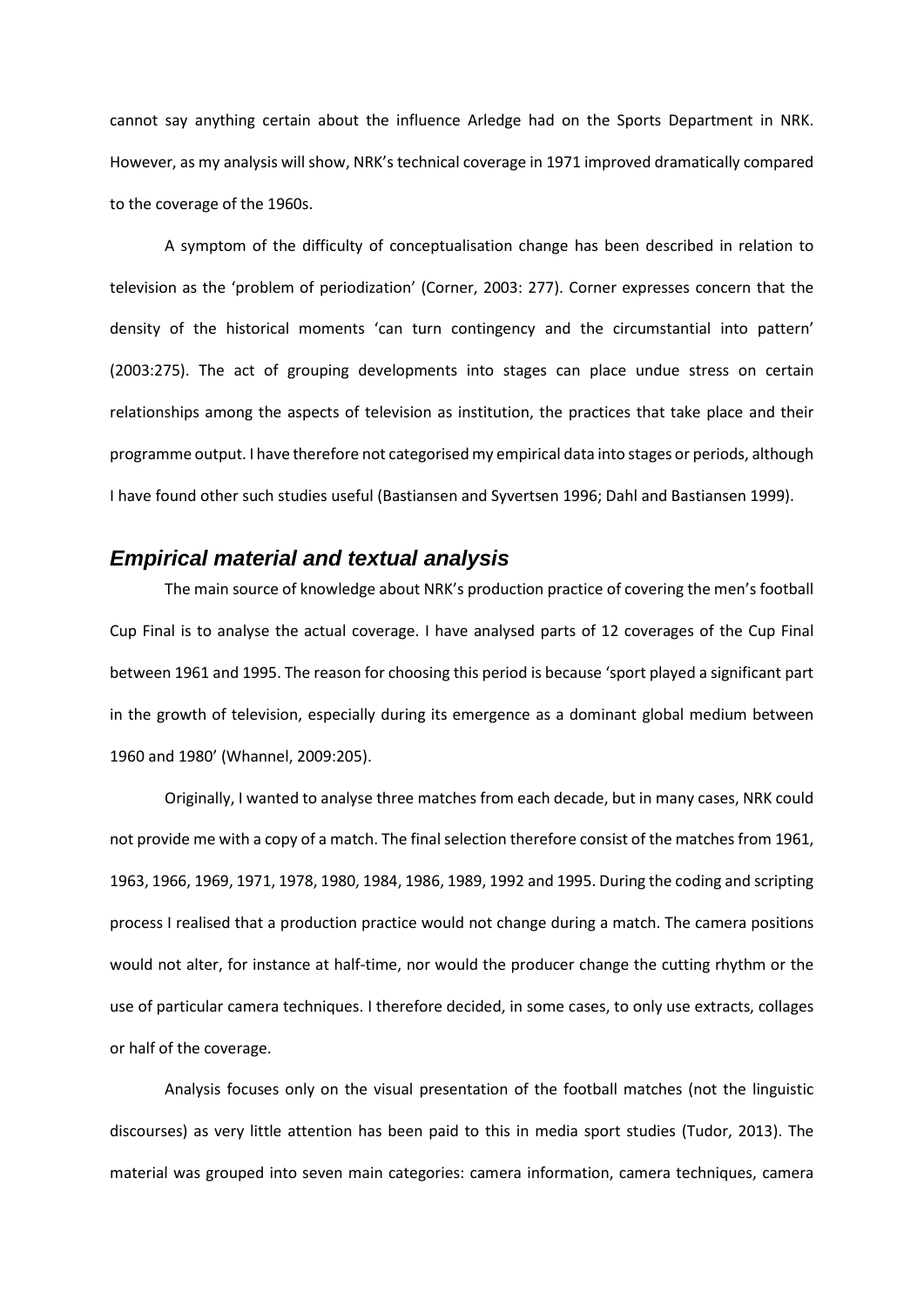cannot say anything certain about the influence Arledge had on the Sports Department in NRK. However, as my analysis will show, NRK's technical coverage in 1971 improved dramatically compared to the coverage of the 1960s.

A symptom of the difficulty of conceptualisation change has been described in relation to television as the 'problem of periodization' (Corner, 2003: 277). Corner expresses concern that the density of the historical moments 'can turn contingency and the circumstantial into pattern' (2003:275). The act of grouping developments into stages can place undue stress on certain relationships among the aspects of television as institution, the practices that take place and their programme output. I have therefore not categorised my empirical data into stages or periods, although I have found other such studies useful (Bastiansen and Syvertsen 1996; Dahl and Bastiansen 1999).

#### *Empirical material and textual analysis*

The main source of knowledge about NRK's production practice of covering the men's football Cup Final is to analyse the actual coverage. I have analysed parts of 12 coverages of the Cup Final between 1961 and 1995. The reason for choosing this period is because 'sport played a significant part in the growth of television, especially during its emergence as a dominant global medium between 1960 and 1980' (Whannel, 2009:205).

Originally, I wanted to analyse three matches from each decade, but in many cases, NRK could not provide me with a copy of a match. The final selection therefore consist of the matches from 1961, 1963, 1966, 1969, 1971, 1978, 1980, 1984, 1986, 1989, 1992 and 1995. During the coding and scripting process I realised that a production practice would not change during a match. The camera positions would not alter, for instance at half-time, nor would the producer change the cutting rhythm or the use of particular camera techniques. I therefore decided, in some cases, to only use extracts, collages or half of the coverage.

Analysis focuses only on the visual presentation of the football matches (not the linguistic discourses) as very little attention has been paid to this in media sport studies (Tudor, 2013). The material was grouped into seven main categories: camera information, camera techniques, camera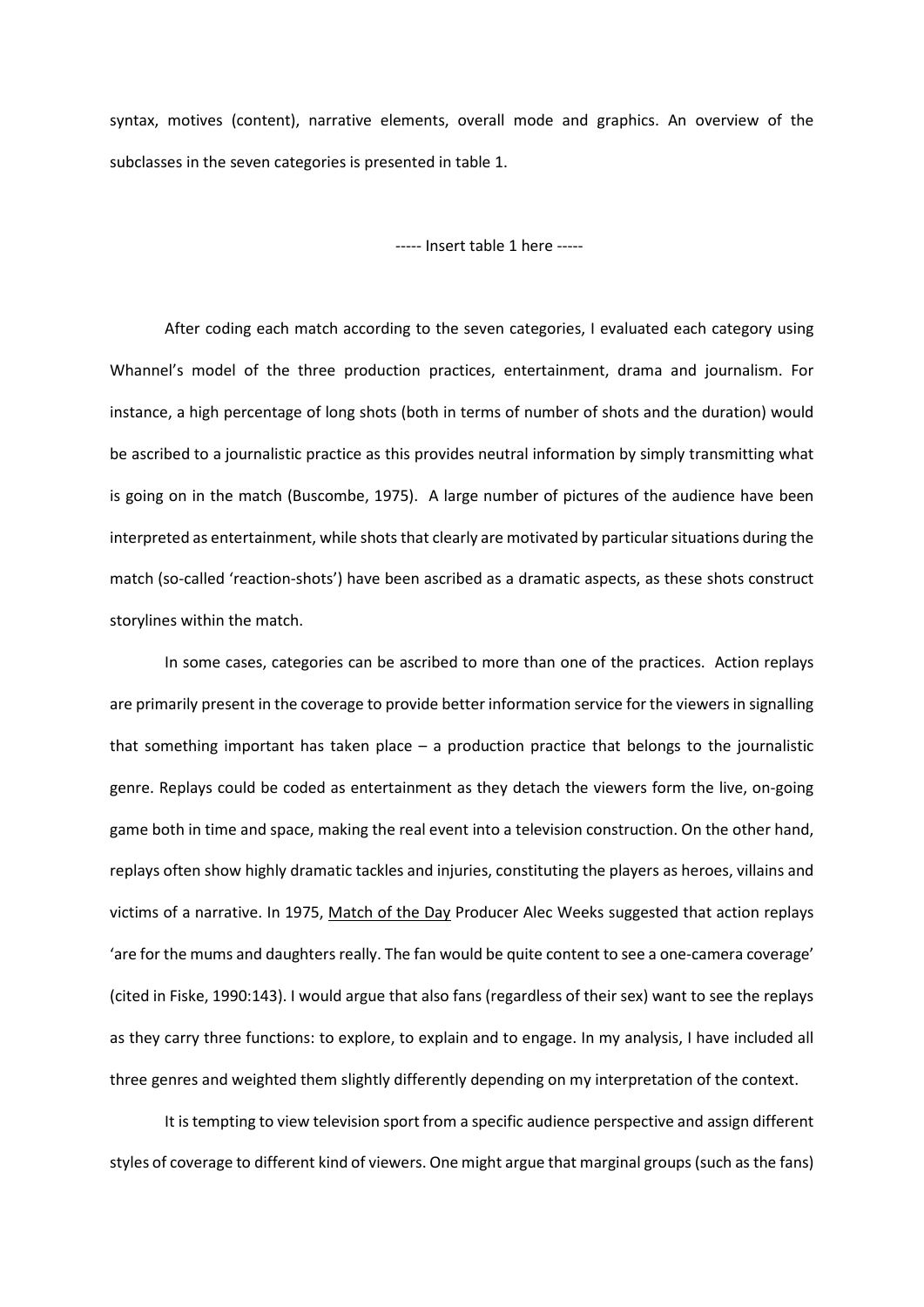syntax, motives (content), narrative elements, overall mode and graphics. An overview of the subclasses in the seven categories is presented in table 1.

----- Insert table 1 here -----

After coding each match according to the seven categories, I evaluated each category using Whannel's model of the three production practices, entertainment, drama and journalism. For instance, a high percentage of long shots (both in terms of number of shots and the duration) would be ascribed to a journalistic practice as this provides neutral information by simply transmitting what is going on in the match (Buscombe, 1975). A large number of pictures of the audience have been interpreted as entertainment, while shots that clearly are motivated by particular situations during the match (so-called 'reaction-shots') have been ascribed as a dramatic aspects, as these shots construct storylines within the match.

In some cases, categories can be ascribed to more than one of the practices. Action replays are primarily present in the coverage to provide better information service for the viewers in signalling that something important has taken place – a production practice that belongs to the journalistic genre. Replays could be coded as entertainment as they detach the viewers form the live, on-going game both in time and space, making the real event into a television construction. On the other hand, replays often show highly dramatic tackles and injuries, constituting the players as heroes, villains and victims of a narrative. In 1975, Match of the Day Producer Alec Weeks suggested that action replays 'are for the mums and daughters really. The fan would be quite content to see a one-camera coverage' (cited in Fiske, 1990:143). I would argue that also fans (regardless of their sex) want to see the replays as they carry three functions: to explore, to explain and to engage. In my analysis, I have included all three genres and weighted them slightly differently depending on my interpretation of the context.

It is tempting to view television sport from a specific audience perspective and assign different styles of coverage to different kind of viewers. One might argue that marginal groups (such as the fans)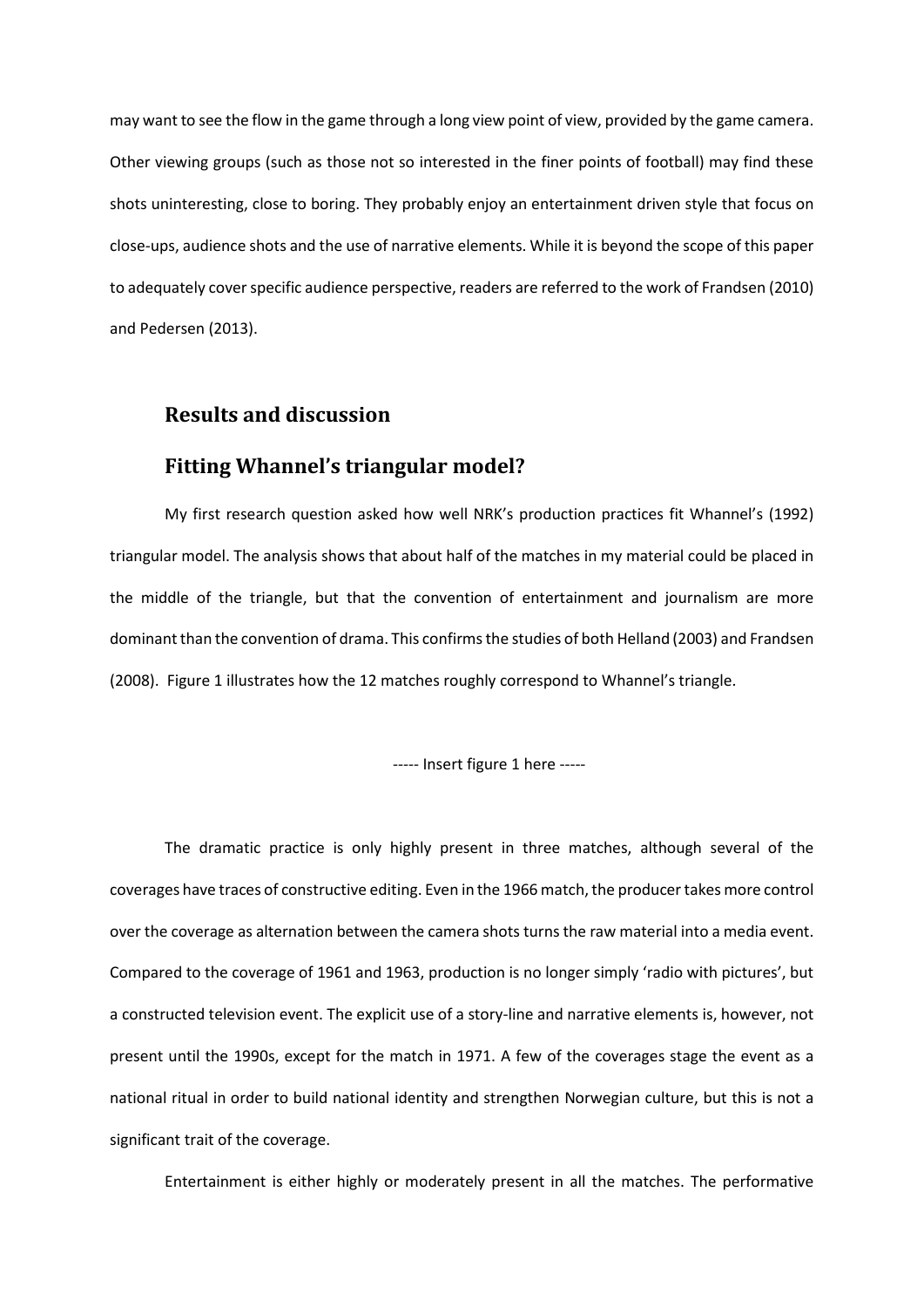may want to see the flow in the game through a long view point of view, provided by the game camera. Other viewing groups (such as those not so interested in the finer points of football) may find these shots uninteresting, close to boring. They probably enjoy an entertainment driven style that focus on close-ups, audience shots and the use of narrative elements. While it is beyond the scope of this paper to adequately cover specific audience perspective, readers are referred to the work of Frandsen (2010) and Pedersen (2013).

#### **Results and discussion**

### **Fitting Whannel's triangular model?**

My first research question asked how well NRK's production practices fit Whannel's (1992) triangular model. The analysis shows that about half of the matches in my material could be placed in the middle of the triangle, but that the convention of entertainment and journalism are more dominant than the convention of drama. This confirms the studies of both Helland (2003) and Frandsen (2008). Figure 1 illustrates how the 12 matches roughly correspond to Whannel's triangle.

----- Insert figure 1 here -----

The dramatic practice is only highly present in three matches, although several of the coverages have traces of constructive editing. Even in the 1966 match, the producer takes more control over the coverage as alternation between the camera shots turns the raw material into a media event. Compared to the coverage of 1961 and 1963, production is no longer simply 'radio with pictures', but a constructed television event. The explicit use of a story-line and narrative elements is, however, not present until the 1990s, except for the match in 1971. A few of the coverages stage the event as a national ritual in order to build national identity and strengthen Norwegian culture, but this is not a significant trait of the coverage.

Entertainment is either highly or moderately present in all the matches. The performative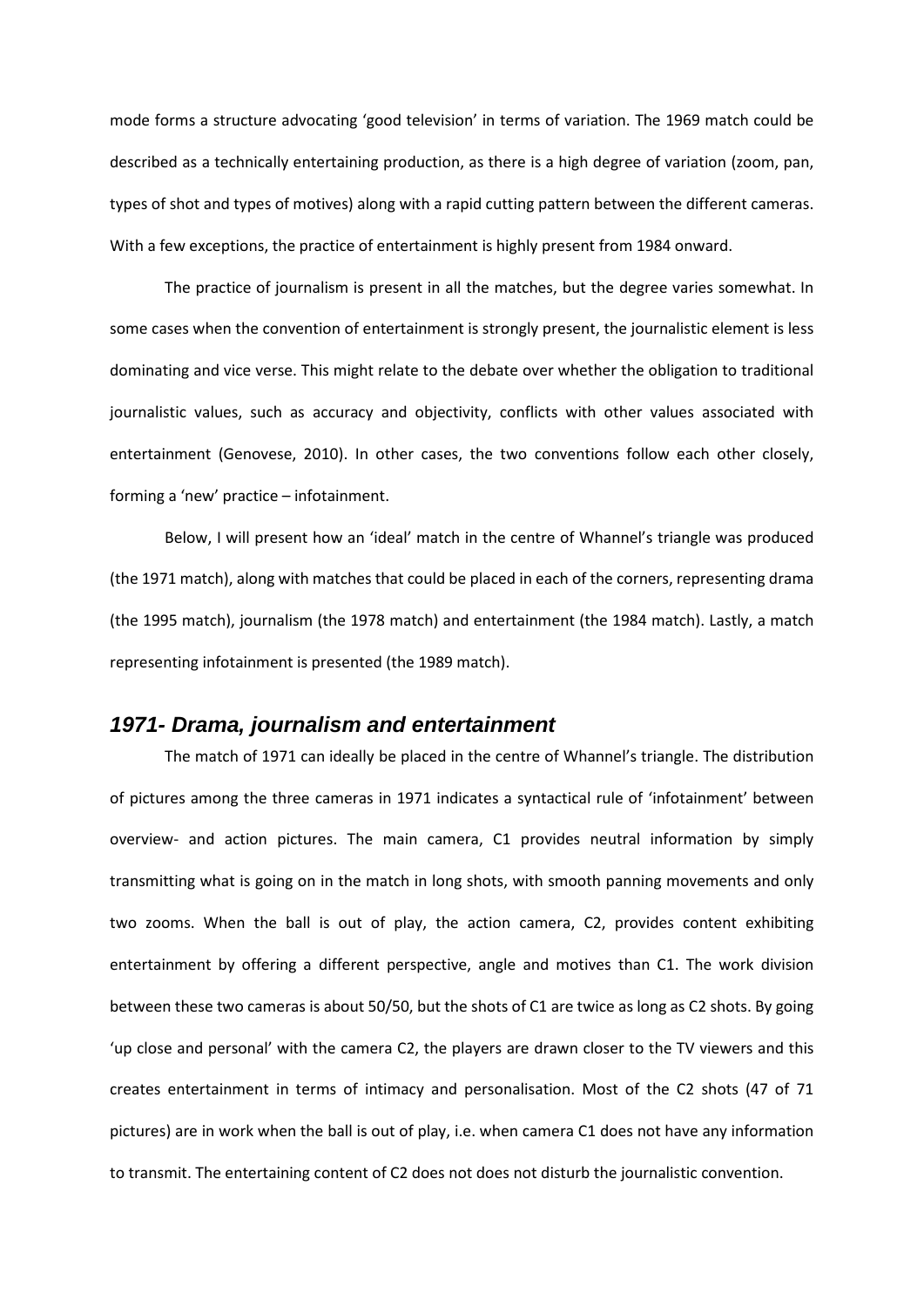mode forms a structure advocating 'good television' in terms of variation. The 1969 match could be described as a technically entertaining production, as there is a high degree of variation (zoom, pan, types of shot and types of motives) along with a rapid cutting pattern between the different cameras. With a few exceptions, the practice of entertainment is highly present from 1984 onward.

The practice of journalism is present in all the matches, but the degree varies somewhat. In some cases when the convention of entertainment is strongly present, the journalistic element is less dominating and vice verse. This might relate to the debate over whether the obligation to traditional journalistic values, such as accuracy and objectivity, conflicts with other values associated with entertainment (Genovese, 2010). In other cases, the two conventions follow each other closely, forming a 'new' practice – infotainment.

Below, I will present how an 'ideal' match in the centre of Whannel's triangle was produced (the 1971 match), along with matches that could be placed in each of the corners, representing drama (the 1995 match), journalism (the 1978 match) and entertainment (the 1984 match). Lastly, a match representing infotainment is presented (the 1989 match).

#### *1971- Drama, journalism and entertainment*

The match of 1971 can ideally be placed in the centre of Whannel's triangle. The distribution of pictures among the three cameras in 1971 indicates a syntactical rule of 'infotainment' between overview- and action pictures. The main camera, C1 provides neutral information by simply transmitting what is going on in the match in long shots, with smooth panning movements and only two zooms. When the ball is out of play, the action camera, C2, provides content exhibiting entertainment by offering a different perspective, angle and motives than C1. The work division between these two cameras is about 50/50, but the shots of C1 are twice as long as C2 shots. By going 'up close and personal' with the camera C2, the players are drawn closer to the TV viewers and this creates entertainment in terms of intimacy and personalisation. Most of the C2 shots (47 of 71 pictures) are in work when the ball is out of play, i.e. when camera C1 does not have any information to transmit. The entertaining content of C2 does not does not disturb the journalistic convention.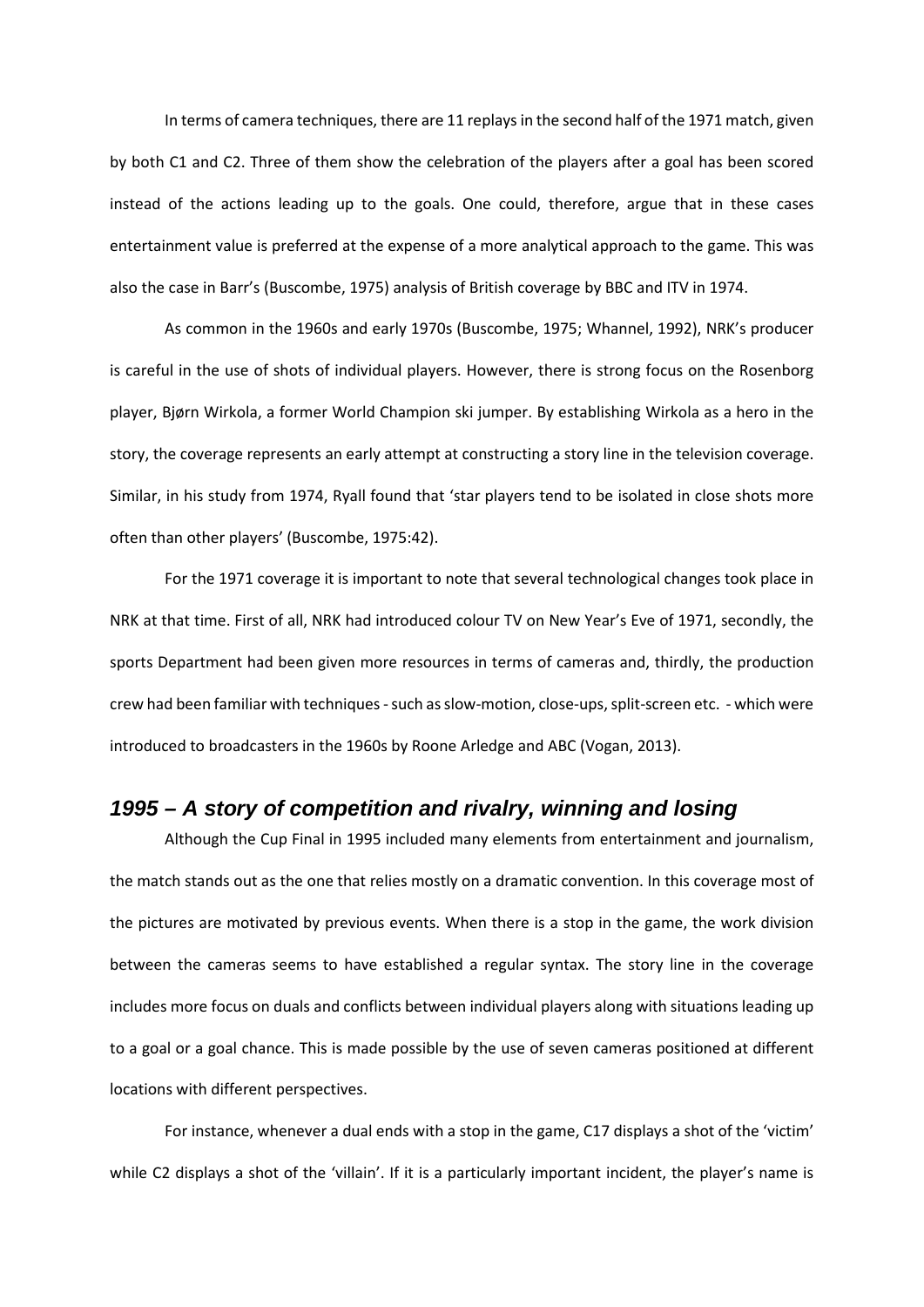In terms of camera techniques, there are 11 replays in the second half of the 1971 match, given by both C1 and C2. Three of them show the celebration of the players after a goal has been scored instead of the actions leading up to the goals. One could, therefore, argue that in these cases entertainment value is preferred at the expense of a more analytical approach to the game. This was also the case in Barr's (Buscombe, 1975) analysis of British coverage by BBC and ITV in 1974.

As common in the 1960s and early 1970s (Buscombe, 1975; Whannel, 1992), NRK's producer is careful in the use of shots of individual players. However, there is strong focus on the Rosenborg player, Bjørn Wirkola, a former World Champion ski jumper. By establishing Wirkola as a hero in the story, the coverage represents an early attempt at constructing a story line in the television coverage. Similar, in his study from 1974, Ryall found that 'star players tend to be isolated in close shots more often than other players' (Buscombe, 1975:42).

For the 1971 coverage it is important to note that several technological changes took place in NRK at that time. First of all, NRK had introduced colour TV on New Year's Eve of 1971, secondly, the sports Department had been given more resources in terms of cameras and, thirdly, the production crew had been familiar with techniques-such as slow-motion, close-ups, split-screen etc. - which were introduced to broadcasters in the 1960s by Roone Arledge and ABC (Vogan, 2013).

### *1995 – A story of competition and rivalry, winning and losing*

Although the Cup Final in 1995 included many elements from entertainment and journalism, the match stands out as the one that relies mostly on a dramatic convention. In this coverage most of the pictures are motivated by previous events. When there is a stop in the game, the work division between the cameras seems to have established a regular syntax. The story line in the coverage includes more focus on duals and conflicts between individual players along with situations leading up to a goal or a goal chance. This is made possible by the use of seven cameras positioned at different locations with different perspectives.

For instance, whenever a dual ends with a stop in the game, C17 displays a shot of the 'victim' while C2 displays a shot of the 'villain'. If it is a particularly important incident, the player's name is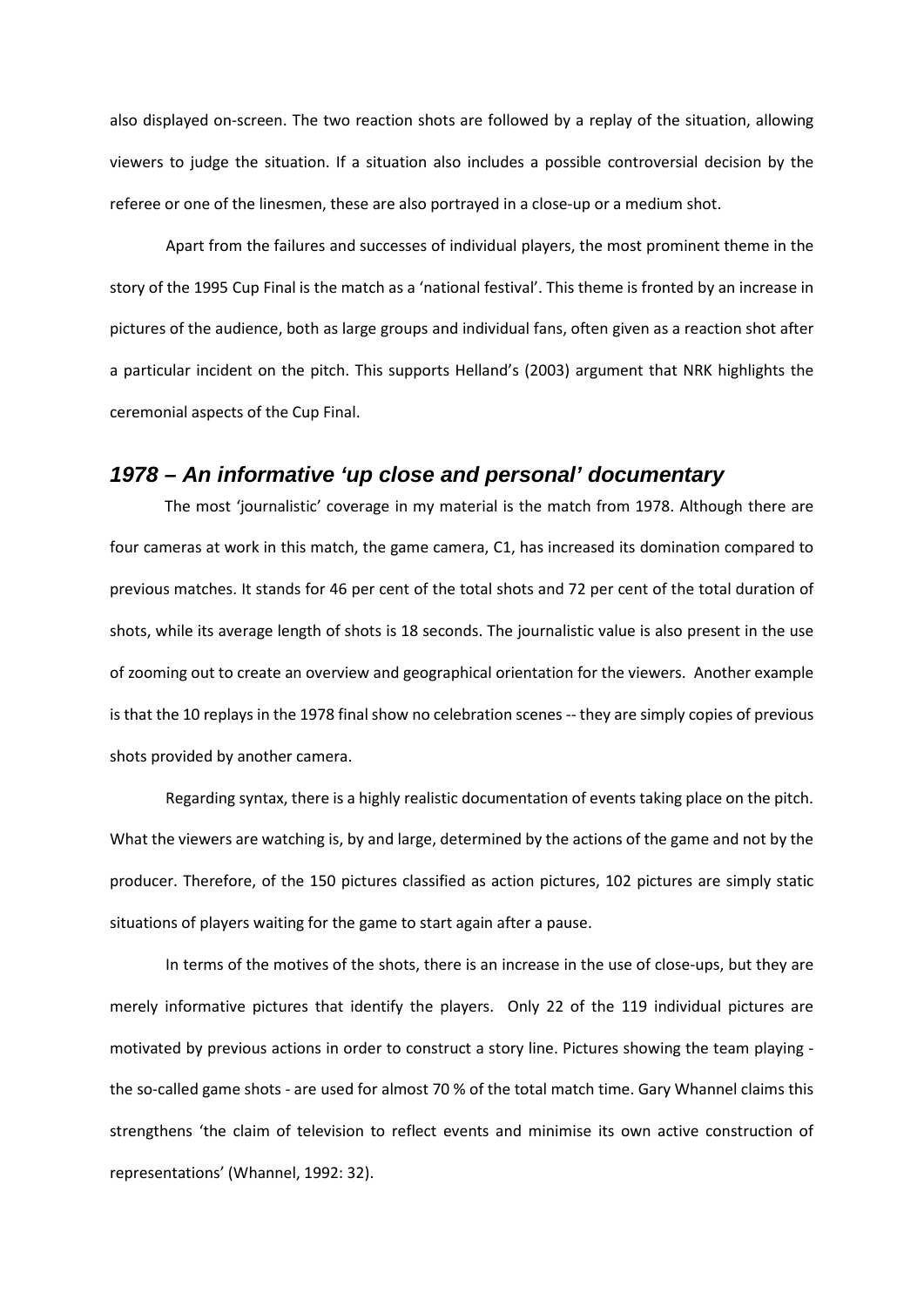also displayed on-screen. The two reaction shots are followed by a replay of the situation, allowing viewers to judge the situation. If a situation also includes a possible controversial decision by the referee or one of the linesmen, these are also portrayed in a close-up or a medium shot.

Apart from the failures and successes of individual players, the most prominent theme in the story of the 1995 Cup Final is the match as a 'national festival'. This theme is fronted by an increase in pictures of the audience, both as large groups and individual fans, often given as a reaction shot after a particular incident on the pitch. This supports Helland's (2003) argument that NRK highlights the ceremonial aspects of the Cup Final.

#### *1978 – An informative 'up close and personal' documentary*

The most 'journalistic' coverage in my material is the match from 1978. Although there are four cameras at work in this match, the game camera, C1, has increased its domination compared to previous matches. It stands for 46 per cent of the total shots and 72 per cent of the total duration of shots, while its average length of shots is 18 seconds. The journalistic value is also present in the use of zooming out to create an overview and geographical orientation for the viewers. Another example is that the 10 replays in the 1978 final show no celebration scenes -- they are simply copies of previous shots provided by another camera.

Regarding syntax, there is a highly realistic documentation of events taking place on the pitch. What the viewers are watching is, by and large, determined by the actions of the game and not by the producer. Therefore, of the 150 pictures classified as action pictures, 102 pictures are simply static situations of players waiting for the game to start again after a pause.

In terms of the motives of the shots, there is an increase in the use of close-ups, but they are merely informative pictures that identify the players. Only 22 of the 119 individual pictures are motivated by previous actions in order to construct a story line. Pictures showing the team playing the so-called game shots - are used for almost 70 % of the total match time. Gary Whannel claims this strengthens 'the claim of television to reflect events and minimise its own active construction of representations' (Whannel, 1992: 32).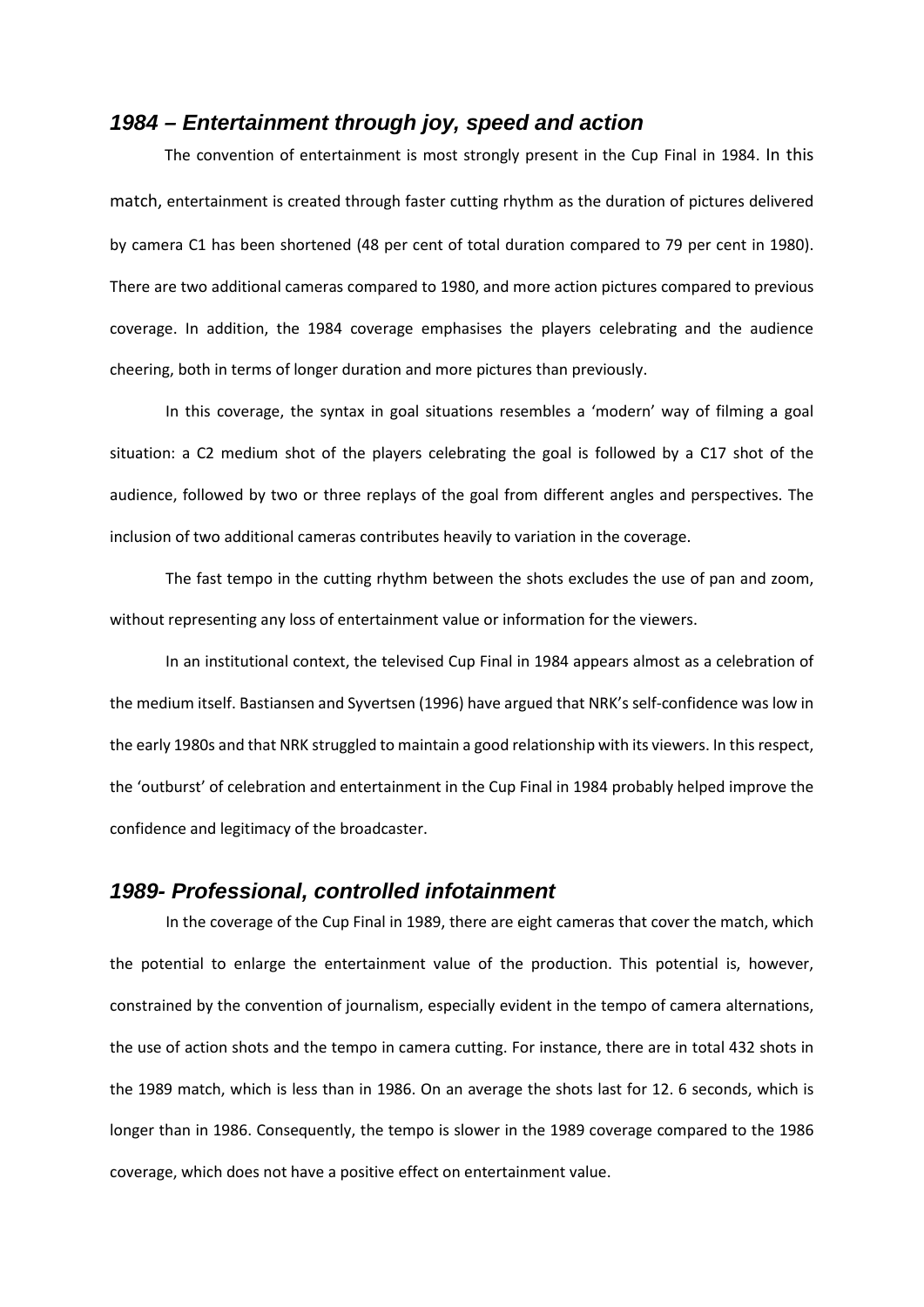#### *1984 – Entertainment through joy, speed and action*

The convention of entertainment is most strongly present in the Cup Final in 1984. In this match, entertainment is created through faster cutting rhythm as the duration of pictures delivered by camera C1 has been shortened (48 per cent of total duration compared to 79 per cent in 1980). There are two additional cameras compared to 1980, and more action pictures compared to previous coverage. In addition, the 1984 coverage emphasises the players celebrating and the audience cheering, both in terms of longer duration and more pictures than previously.

In this coverage, the syntax in goal situations resembles a 'modern' way of filming a goal situation: a C2 medium shot of the players celebrating the goal is followed by a C17 shot of the audience, followed by two or three replays of the goal from different angles and perspectives. The inclusion of two additional cameras contributes heavily to variation in the coverage.

The fast tempo in the cutting rhythm between the shots excludes the use of pan and zoom, without representing any loss of entertainment value or information for the viewers.

In an institutional context, the televised Cup Final in 1984 appears almost as a celebration of the medium itself. Bastiansen and Syvertsen (1996) have argued that NRK's self-confidence was low in the early 1980s and that NRK struggled to maintain a good relationship with its viewers. In this respect, the 'outburst' of celebration and entertainment in the Cup Final in 1984 probably helped improve the confidence and legitimacy of the broadcaster.

#### *1989- Professional, controlled infotainment*

In the coverage of the Cup Final in 1989, there are eight cameras that cover the match, which the potential to enlarge the entertainment value of the production. This potential is, however, constrained by the convention of journalism, especially evident in the tempo of camera alternations, the use of action shots and the tempo in camera cutting. For instance, there are in total 432 shots in the 1989 match, which is less than in 1986. On an average the shots last for 12. 6 seconds, which is longer than in 1986. Consequently, the tempo is slower in the 1989 coverage compared to the 1986 coverage, which does not have a positive effect on entertainment value.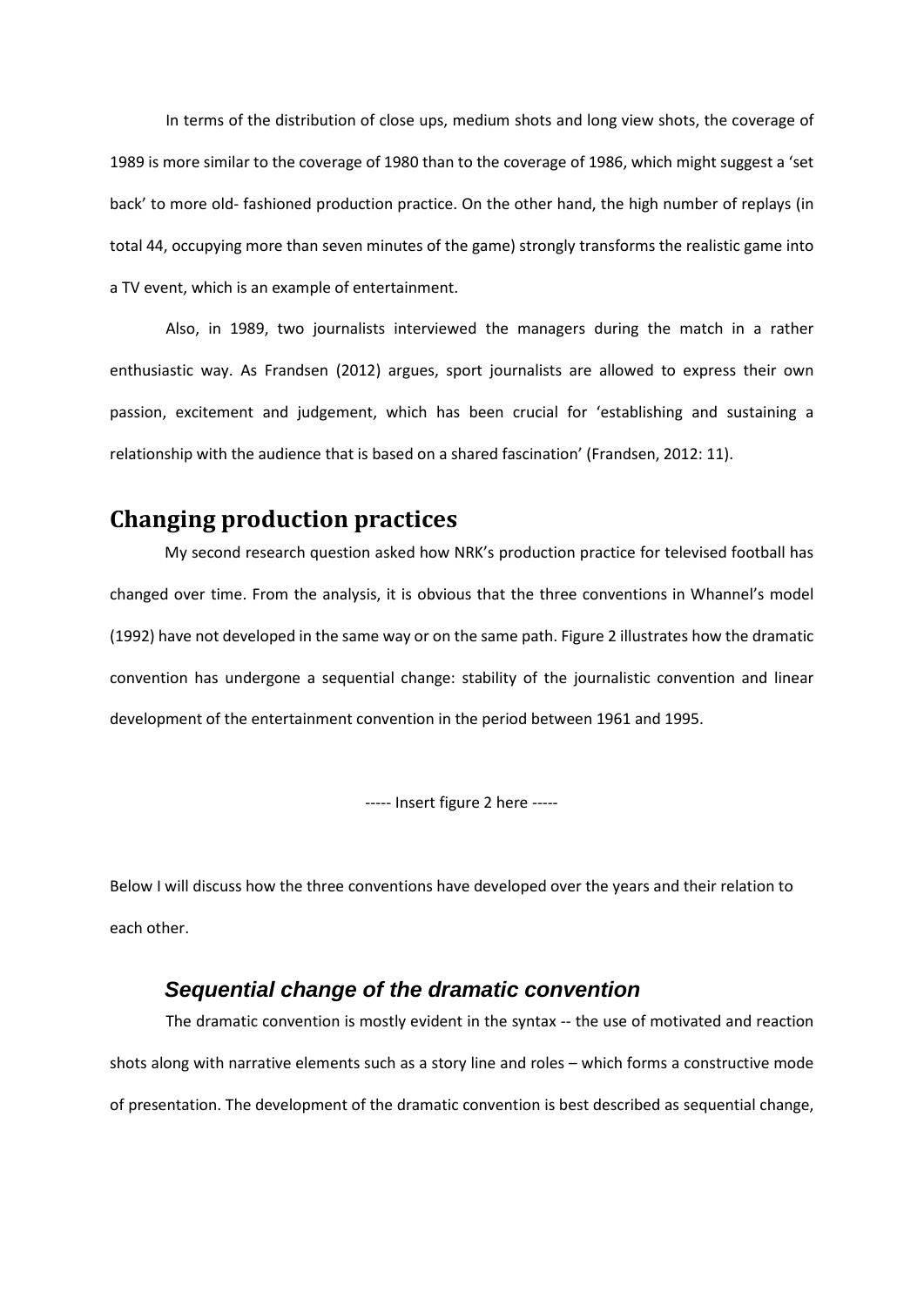In terms of the distribution of close ups, medium shots and long view shots, the coverage of 1989 is more similar to the coverage of 1980 than to the coverage of 1986, which might suggest a 'set back' to more old- fashioned production practice. On the other hand, the high number of replays (in total 44, occupying more than seven minutes of the game) strongly transforms the realistic game into a TV event, which is an example of entertainment.

Also, in 1989, two journalists interviewed the managers during the match in a rather enthusiastic way. As Frandsen (2012) argues, sport journalists are allowed to express their own passion, excitement and judgement, which has been crucial for 'establishing and sustaining a relationship with the audience that is based on a shared fascination' (Frandsen, 2012: 11).

## **Changing production practices**

My second research question asked how NRK's production practice for televised football has changed over time. From the analysis, it is obvious that the three conventions in Whannel's model (1992) have not developed in the same way or on the same path. Figure 2 illustrates how the dramatic convention has undergone a sequential change: stability of the journalistic convention and linear development of the entertainment convention in the period between 1961 and 1995.

----- Insert figure 2 here -----

Below I will discuss how the three conventions have developed over the years and their relation to each other.

#### *Sequential change of the dramatic convention*

The dramatic convention is mostly evident in the syntax -- the use of motivated and reaction shots along with narrative elements such as a story line and roles – which forms a constructive mode of presentation. The development of the dramatic convention is best described as sequential change,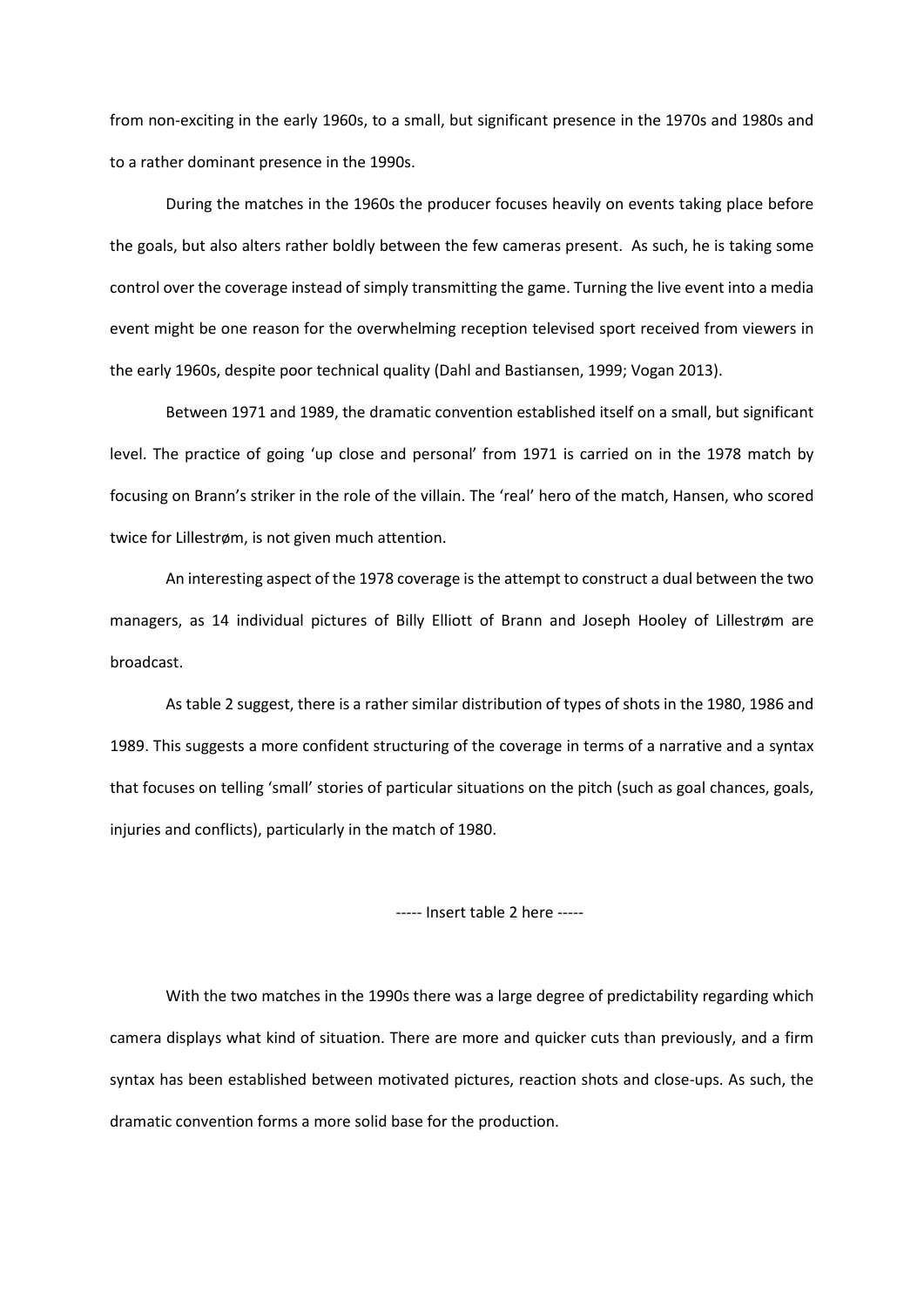from non-exciting in the early 1960s, to a small, but significant presence in the 1970s and 1980s and to a rather dominant presence in the 1990s.

During the matches in the 1960s the producer focuses heavily on events taking place before the goals, but also alters rather boldly between the few cameras present. As such, he is taking some control over the coverage instead of simply transmitting the game. Turning the live event into a media event might be one reason for the overwhelming reception televised sport received from viewers in the early 1960s, despite poor technical quality (Dahl and Bastiansen, 1999; Vogan 2013).

Between 1971 and 1989, the dramatic convention established itself on a small, but significant level. The practice of going 'up close and personal' from 1971 is carried on in the 1978 match by focusing on Brann's striker in the role of the villain. The 'real' hero of the match, Hansen, who scored twice for Lillestrøm, is not given much attention.

An interesting aspect of the 1978 coverage is the attempt to construct a dual between the two managers, as 14 individual pictures of Billy Elliott of Brann and Joseph Hooley of Lillestrøm are broadcast.

As table 2 suggest, there is a rather similar distribution of types of shots in the 1980, 1986 and 1989. This suggests a more confident structuring of the coverage in terms of a narrative and a syntax that focuses on telling 'small' stories of particular situations on the pitch (such as goal chances, goals, injuries and conflicts), particularly in the match of 1980.

----- Insert table 2 here -----

With the two matches in the 1990s there was a large degree of predictability regarding which camera displays what kind of situation. There are more and quicker cuts than previously, and a firm syntax has been established between motivated pictures, reaction shots and close-ups. As such, the dramatic convention forms a more solid base for the production.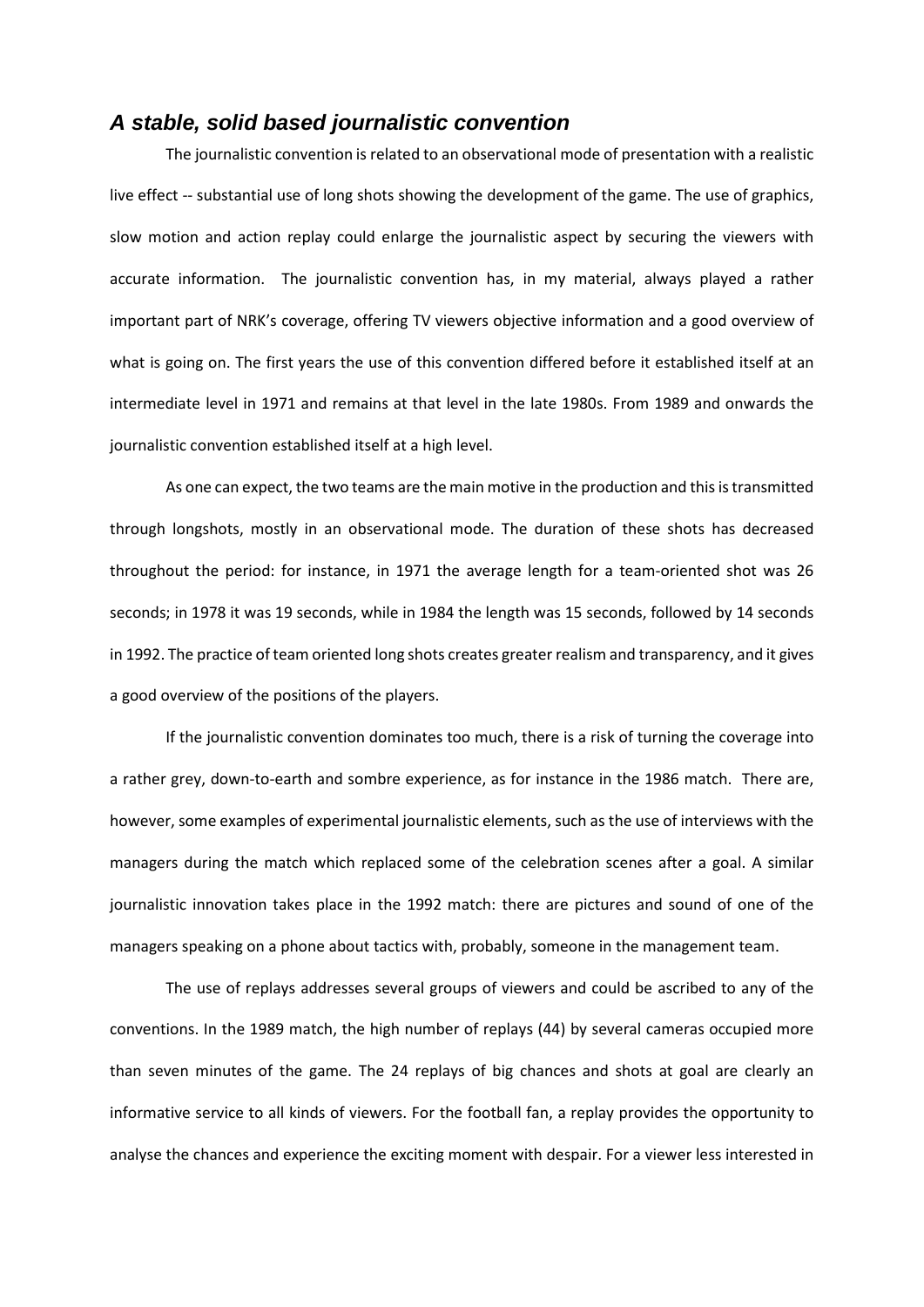### *A stable, solid based journalistic convention*

The journalistic convention is related to an observational mode of presentation with a realistic live effect -- substantial use of long shots showing the development of the game. The use of graphics, slow motion and action replay could enlarge the journalistic aspect by securing the viewers with accurate information. The journalistic convention has, in my material, always played a rather important part of NRK's coverage, offering TV viewers objective information and a good overview of what is going on. The first years the use of this convention differed before it established itself at an intermediate level in 1971 and remains at that level in the late 1980s. From 1989 and onwards the journalistic convention established itself at a high level.

As one can expect, the two teams are the main motive in the production and this is transmitted through longshots, mostly in an observational mode. The duration of these shots has decreased throughout the period: for instance, in 1971 the average length for a team-oriented shot was 26 seconds; in 1978 it was 19 seconds, while in 1984 the length was 15 seconds, followed by 14 seconds in 1992. The practice of team oriented long shots creates greater realism and transparency, and it gives a good overview of the positions of the players.

If the journalistic convention dominates too much, there is a risk of turning the coverage into a rather grey, down-to-earth and sombre experience, as for instance in the 1986 match. There are, however, some examples of experimental journalistic elements, such as the use of interviews with the managers during the match which replaced some of the celebration scenes after a goal. A similar journalistic innovation takes place in the 1992 match: there are pictures and sound of one of the managers speaking on a phone about tactics with, probably, someone in the management team.

The use of replays addresses several groups of viewers and could be ascribed to any of the conventions. In the 1989 match, the high number of replays (44) by several cameras occupied more than seven minutes of the game. The 24 replays of big chances and shots at goal are clearly an informative service to all kinds of viewers. For the football fan, a replay provides the opportunity to analyse the chances and experience the exciting moment with despair. For a viewer less interested in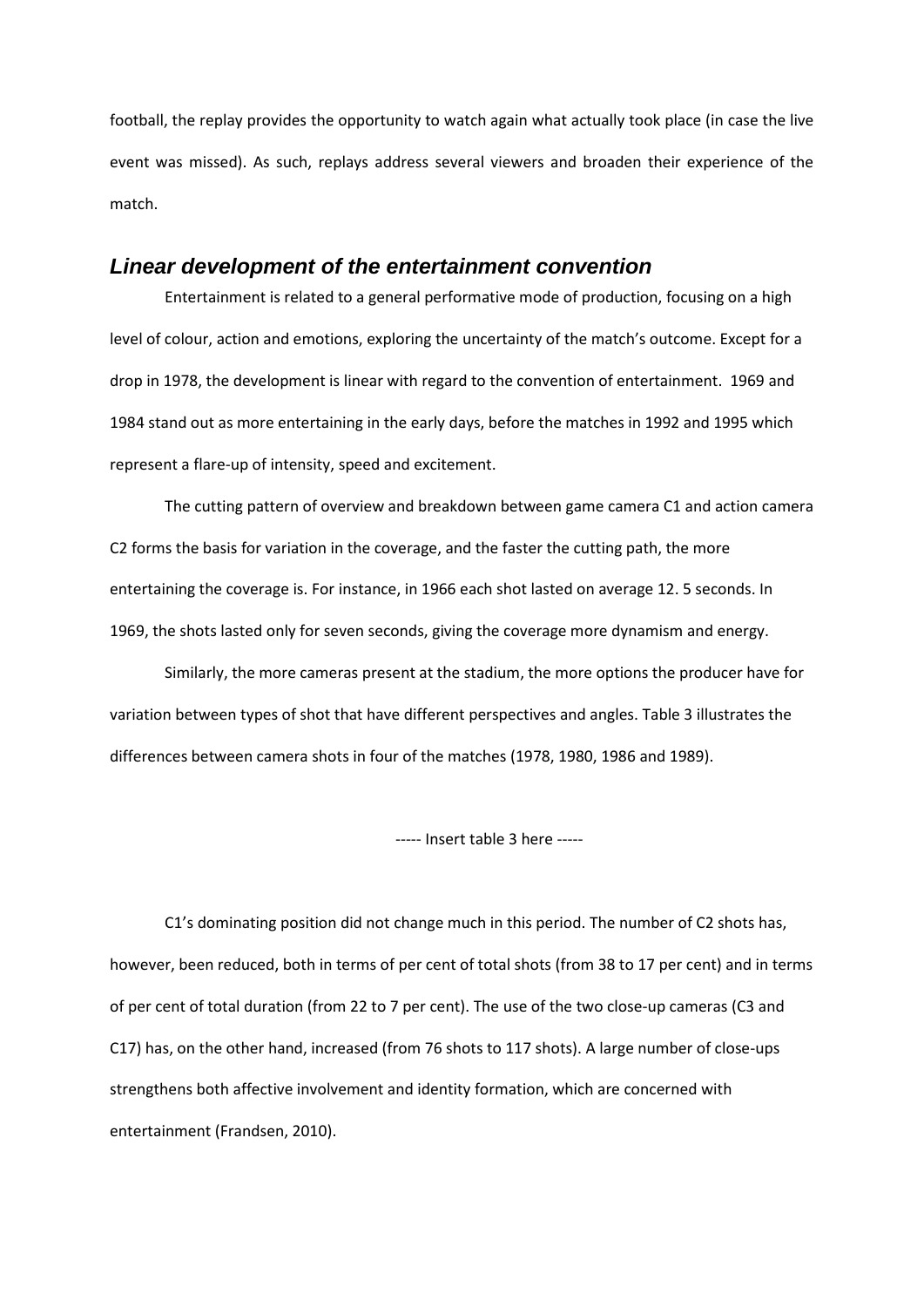football, the replay provides the opportunity to watch again what actually took place (in case the live event was missed). As such, replays address several viewers and broaden their experience of the match.

#### *Linear development of the entertainment convention*

Entertainment is related to a general performative mode of production, focusing on a high level of colour, action and emotions, exploring the uncertainty of the match's outcome. Except for a drop in 1978, the development is linear with regard to the convention of entertainment. 1969 and 1984 stand out as more entertaining in the early days, before the matches in 1992 and 1995 which represent a flare-up of intensity, speed and excitement.

The cutting pattern of overview and breakdown between game camera C1 and action camera C2 forms the basis for variation in the coverage, and the faster the cutting path, the more entertaining the coverage is. For instance, in 1966 each shot lasted on average 12. 5 seconds. In 1969, the shots lasted only for seven seconds, giving the coverage more dynamism and energy.

Similarly, the more cameras present at the stadium, the more options the producer have for variation between types of shot that have different perspectives and angles. Table 3 illustrates the differences between camera shots in four of the matches (1978, 1980, 1986 and 1989).

----- Insert table 3 here -----

C1's dominating position did not change much in this period. The number of C2 shots has, however, been reduced, both in terms of per cent of total shots (from 38 to 17 per cent) and in terms of per cent of total duration (from 22 to 7 per cent). The use of the two close-up cameras (C3 and C17) has, on the other hand, increased (from 76 shots to 117 shots). A large number of close-ups strengthens both affective involvement and identity formation, which are concerned with entertainment (Frandsen, 2010).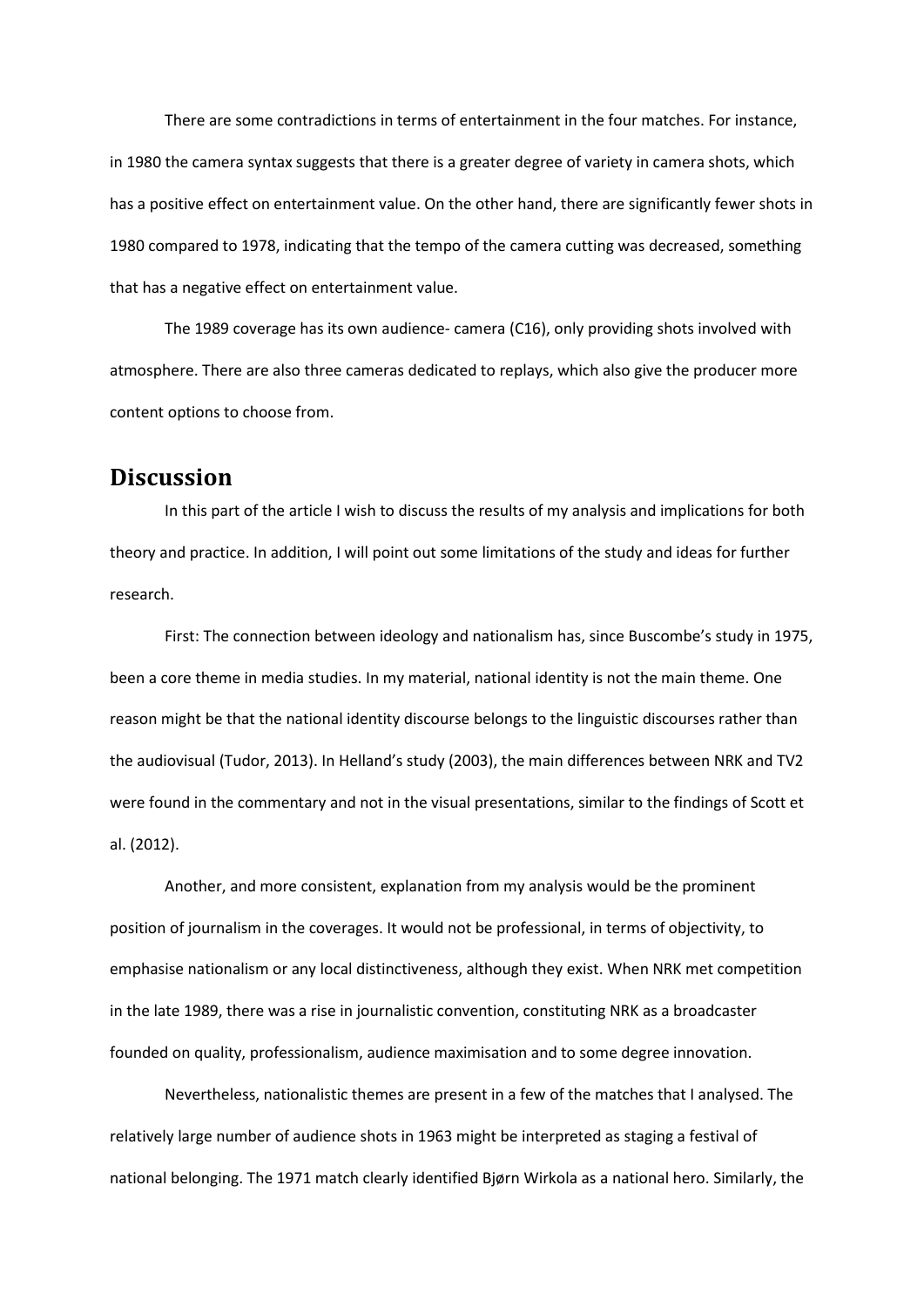There are some contradictions in terms of entertainment in the four matches. For instance, in 1980 the camera syntax suggests that there is a greater degree of variety in camera shots, which has a positive effect on entertainment value. On the other hand, there are significantly fewer shots in 1980 compared to 1978, indicating that the tempo of the camera cutting was decreased, something that has a negative effect on entertainment value.

The 1989 coverage has its own audience- camera (C16), only providing shots involved with atmosphere. There are also three cameras dedicated to replays, which also give the producer more content options to choose from.

### **Discussion**

In this part of the article I wish to discuss the results of my analysis and implications for both theory and practice. In addition, I will point out some limitations of the study and ideas for further research.

First: The connection between ideology and nationalism has, since Buscombe's study in 1975, been a core theme in media studies. In my material, national identity is not the main theme. One reason might be that the national identity discourse belongs to the linguistic discourses rather than the audiovisual (Tudor, 2013). In Helland's study (2003), the main differences between NRK and TV2 were found in the commentary and not in the visual presentations, similar to the findings of Scott et al. (2012).

Another, and more consistent, explanation from my analysis would be the prominent position of journalism in the coverages. It would not be professional, in terms of objectivity, to emphasise nationalism or any local distinctiveness, although they exist. When NRK met competition in the late 1989, there was a rise in journalistic convention, constituting NRK as a broadcaster founded on quality, professionalism, audience maximisation and to some degree innovation.

Nevertheless, nationalistic themes are present in a few of the matches that I analysed. The relatively large number of audience shots in 1963 might be interpreted as staging a festival of national belonging. The 1971 match clearly identified Bjørn Wirkola as a national hero. Similarly, the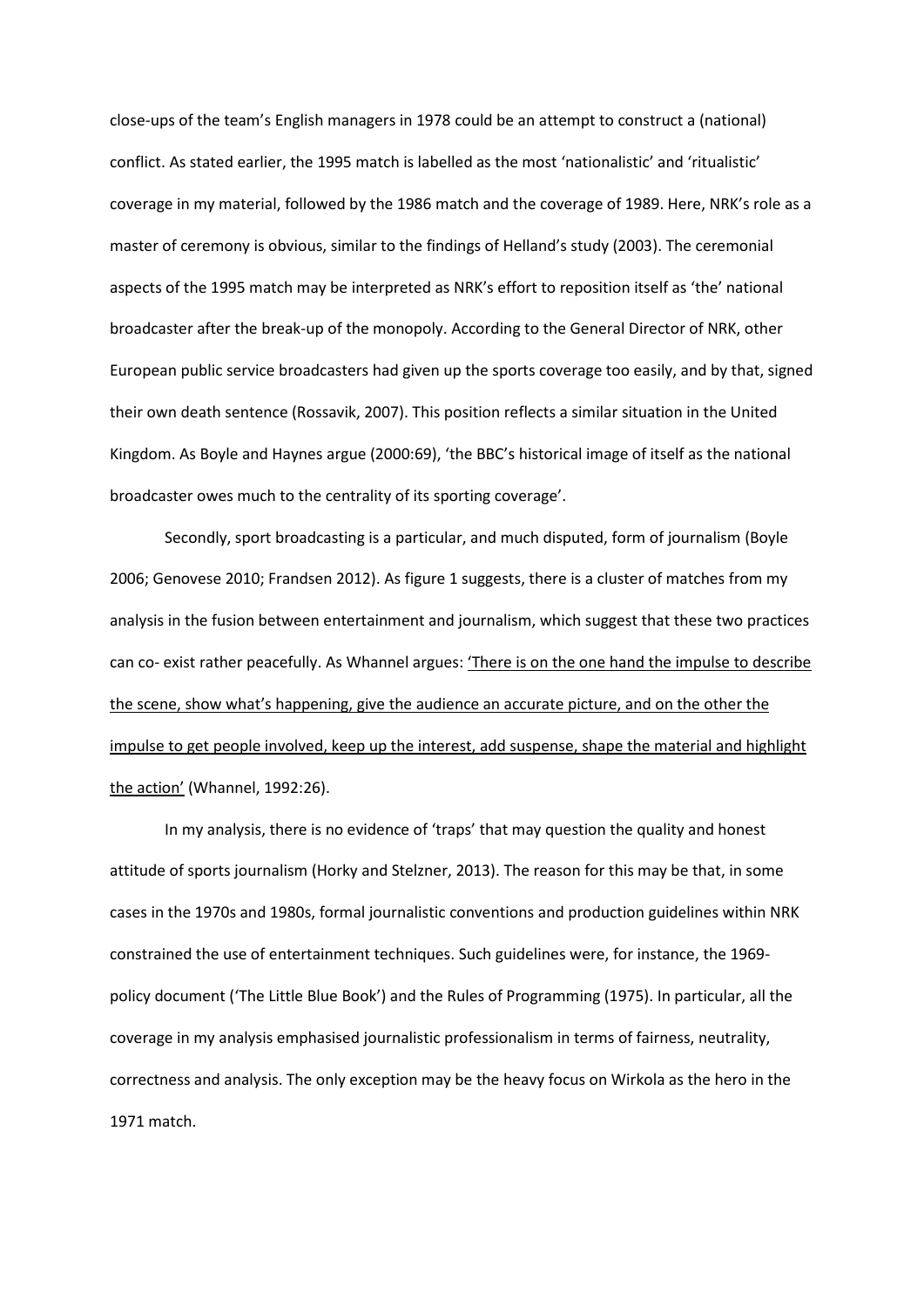close-ups of the team's English managers in 1978 could be an attempt to construct a (national) conflict. As stated earlier, the 1995 match is labelled as the most 'nationalistic' and 'ritualistic' coverage in my material, followed by the 1986 match and the coverage of 1989. Here, NRK's role as a master of ceremony is obvious, similar to the findings of Helland's study (2003). The ceremonial aspects of the 1995 match may be interpreted as NRK's effort to reposition itself as 'the' national broadcaster after the break-up of the monopoly. According to the General Director of NRK, other European public service broadcasters had given up the sports coverage too easily, and by that, signed their own death sentence (Rossavik, 2007). This position reflects a similar situation in the United Kingdom. As Boyle and Haynes argue (2000:69), 'the BBC's historical image of itself as the national broadcaster owes much to the centrality of its sporting coverage'.

Secondly, sport broadcasting is a particular, and much disputed, form of journalism (Boyle 2006; Genovese 2010; Frandsen 2012). As figure 1 suggests, there is a cluster of matches from my analysis in the fusion between entertainment and journalism, which suggest that these two practices can co- exist rather peacefully. As Whannel argues: 'There is on the one hand the impulse to describe the scene, show what's happening, give the audience an accurate picture, and on the other the impulse to get people involved, keep up the interest, add suspense, shape the material and highlight the action' (Whannel, 1992:26).

In my analysis, there is no evidence of 'traps' that may question the quality and honest attitude of sports journalism (Horky and Stelzner, 2013). The reason for this may be that, in some cases in the 1970s and 1980s, formal journalistic conventions and production guidelines within NRK constrained the use of entertainment techniques. Such guidelines were, for instance, the 1969 policy document ('The Little Blue Book') and the Rules of Programming (1975). In particular, all the coverage in my analysis emphasised journalistic professionalism in terms of fairness, neutrality, correctness and analysis. The only exception may be the heavy focus on Wirkola as the hero in the 1971 match.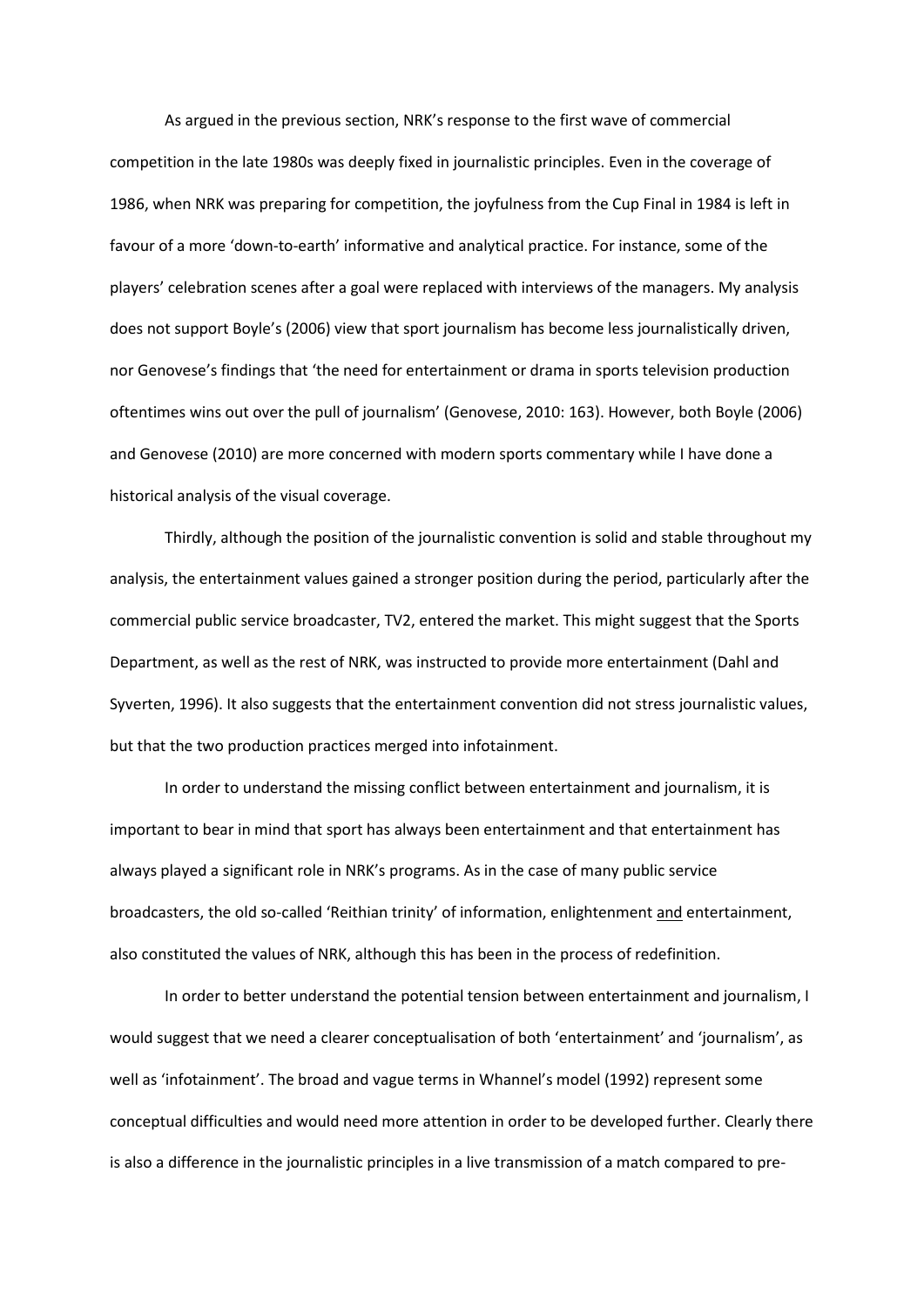As argued in the previous section, NRK's response to the first wave of commercial competition in the late 1980s was deeply fixed in journalistic principles. Even in the coverage of 1986, when NRK was preparing for competition, the joyfulness from the Cup Final in 1984 is left in favour of a more 'down-to-earth' informative and analytical practice. For instance, some of the players' celebration scenes after a goal were replaced with interviews of the managers. My analysis does not support Boyle's (2006) view that sport journalism has become less journalistically driven, nor Genovese's findings that 'the need for entertainment or drama in sports television production oftentimes wins out over the pull of journalism' (Genovese, 2010: 163). However, both Boyle (2006) and Genovese (2010) are more concerned with modern sports commentary while I have done a historical analysis of the visual coverage.

Thirdly, although the position of the journalistic convention is solid and stable throughout my analysis, the entertainment values gained a stronger position during the period, particularly after the commercial public service broadcaster, TV2, entered the market. This might suggest that the Sports Department, as well as the rest of NRK, was instructed to provide more entertainment (Dahl and Syverten, 1996). It also suggests that the entertainment convention did not stress journalistic values, but that the two production practices merged into infotainment.

In order to understand the missing conflict between entertainment and journalism, it is important to bear in mind that sport has always been entertainment and that entertainment has always played a significant role in NRK's programs. As in the case of many public service broadcasters, the old so-called 'Reithian trinity' of information, enlightenment and entertainment, also constituted the values of NRK, although this has been in the process of redefinition.

In order to better understand the potential tension between entertainment and journalism, I would suggest that we need a clearer conceptualisation of both 'entertainment' and 'journalism', as well as 'infotainment'. The broad and vague terms in Whannel's model (1992) represent some conceptual difficulties and would need more attention in order to be developed further. Clearly there is also a difference in the journalistic principles in a live transmission of a match compared to pre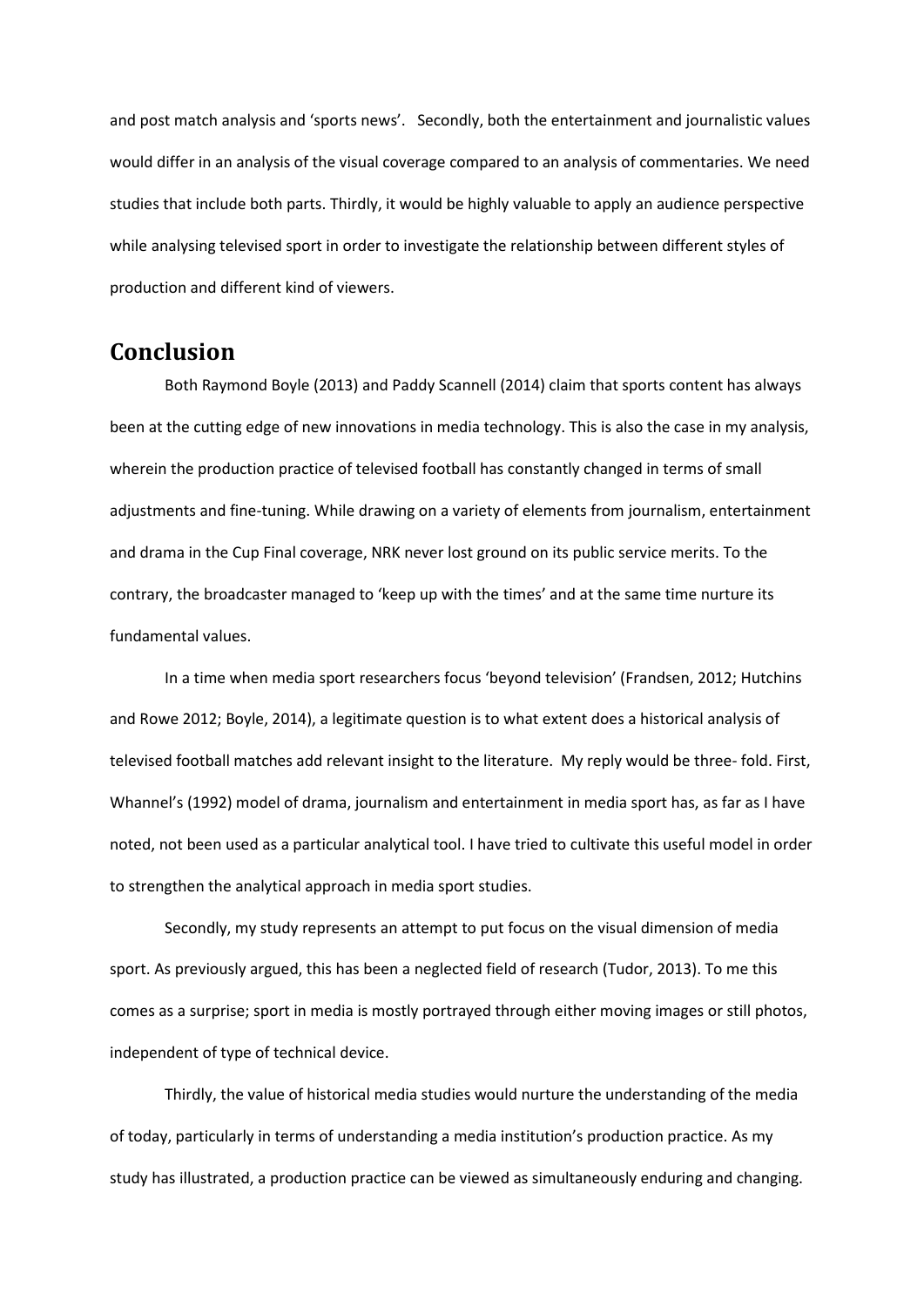and post match analysis and 'sports news'. Secondly, both the entertainment and journalistic values would differ in an analysis of the visual coverage compared to an analysis of commentaries. We need studies that include both parts. Thirdly, it would be highly valuable to apply an audience perspective while analysing televised sport in order to investigate the relationship between different styles of production and different kind of viewers.

## **Conclusion**

Both Raymond Boyle (2013) and Paddy Scannell (2014) claim that sports content has always been at the cutting edge of new innovations in media technology. This is also the case in my analysis, wherein the production practice of televised football has constantly changed in terms of small adjustments and fine-tuning. While drawing on a variety of elements from journalism, entertainment and drama in the Cup Final coverage, NRK never lost ground on its public service merits. To the contrary, the broadcaster managed to 'keep up with the times' and at the same time nurture its fundamental values.

In a time when media sport researchers focus 'beyond television' (Frandsen, 2012; Hutchins and Rowe 2012; Boyle, 2014), a legitimate question is to what extent does a historical analysis of televised football matches add relevant insight to the literature. My reply would be three- fold. First, Whannel's (1992) model of drama, journalism and entertainment in media sport has, as far as I have noted, not been used as a particular analytical tool. I have tried to cultivate this useful model in order to strengthen the analytical approach in media sport studies.

Secondly, my study represents an attempt to put focus on the visual dimension of media sport. As previously argued, this has been a neglected field of research (Tudor, 2013). To me this comes as a surprise; sport in media is mostly portrayed through either moving images or still photos, independent of type of technical device.

Thirdly, the value of historical media studies would nurture the understanding of the media of today, particularly in terms of understanding a media institution's production practice. As my study has illustrated, a production practice can be viewed as simultaneously enduring and changing.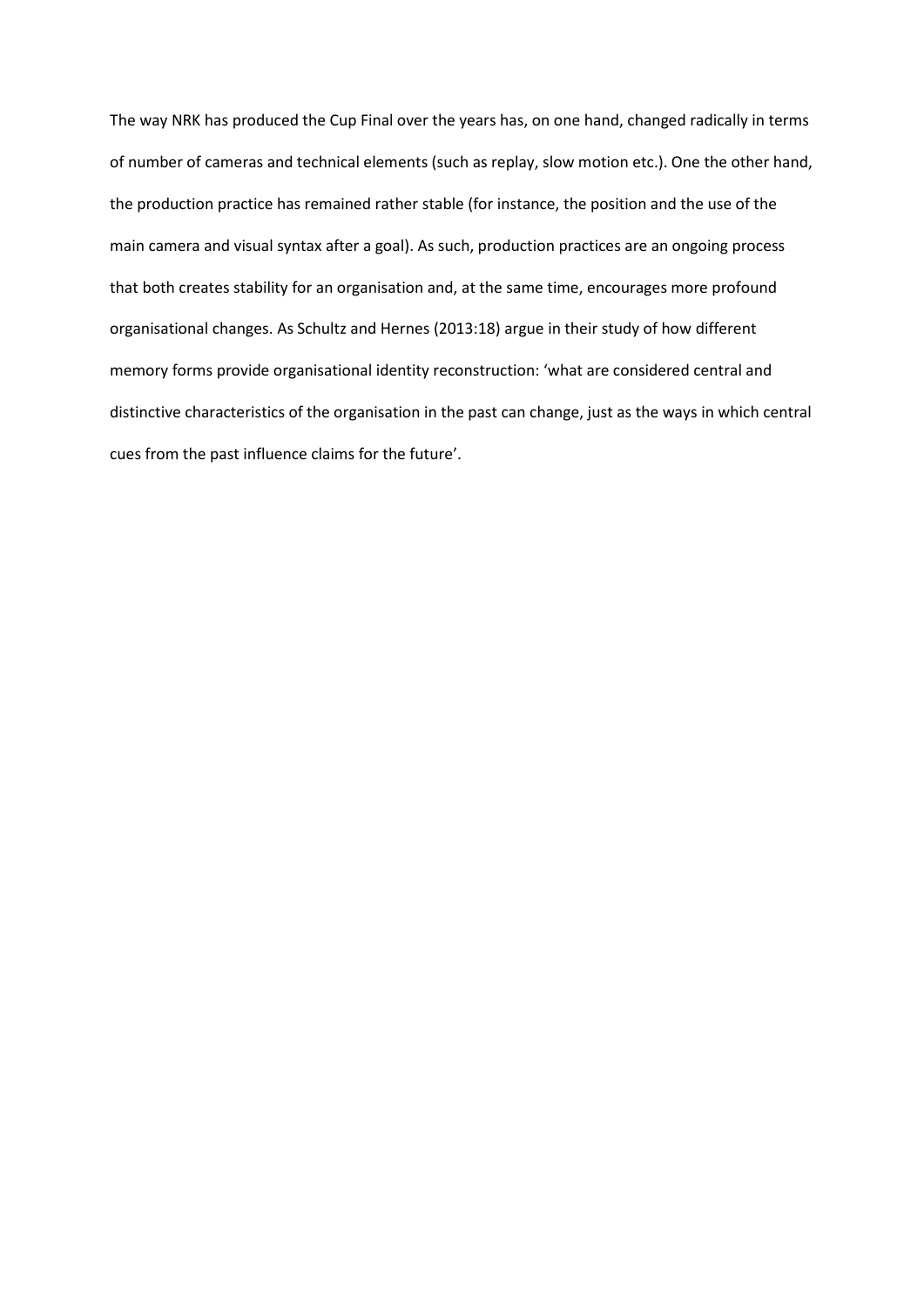The way NRK has produced the Cup Final over the years has, on one hand, changed radically in terms of number of cameras and technical elements (such as replay, slow motion etc.). One the other hand, the production practice has remained rather stable (for instance, the position and the use of the main camera and visual syntax after a goal). As such, production practices are an ongoing process that both creates stability for an organisation and, at the same time, encourages more profound organisational changes. As Schultz and Hernes (2013:18) argue in their study of how different memory forms provide organisational identity reconstruction: 'what are considered central and distinctive characteristics of the organisation in the past can change, just as the ways in which central cues from the past influence claims for the future'.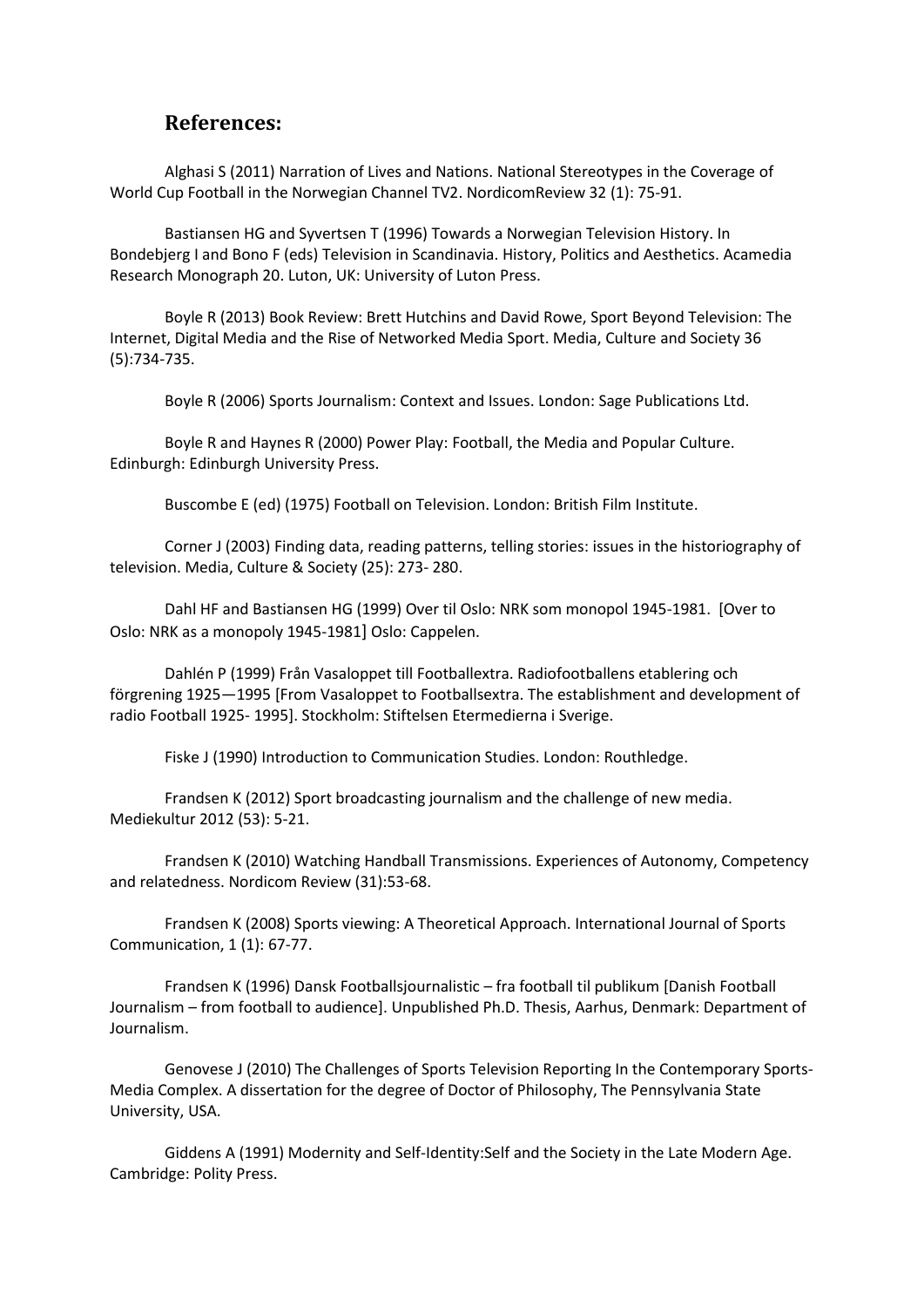### **References:**

Alghasi S (2011) Narration of Lives and Nations. National Stereotypes in the Coverage of World Cup Football in the Norwegian Channel TV2. NordicomReview 32 (1): 75-91.

Bastiansen HG and Syvertsen T (1996) Towards a Norwegian Television History. In Bondebjerg I and Bono F (eds) Television in Scandinavia. History, Politics and Aesthetics. Acamedia Research Monograph 20. Luton, UK: University of Luton Press.

Boyle R (2013) Book Review: Brett Hutchins and David Rowe, Sport Beyond Television: The Internet, Digital Media and the Rise of Networked Media Sport. Media, Culture and Society 36 (5):734-735.

Boyle R (2006) Sports Journalism: Context and Issues. London: Sage Publications Ltd.

Boyle R and Haynes R (2000) Power Play: Football, the Media and Popular Culture. Edinburgh: Edinburgh University Press.

Buscombe E (ed) (1975) Football on Television. London: British Film Institute.

Corner J (2003) Finding data, reading patterns, telling stories: issues in the historiography of television. Media, Culture & Society (25): 273- 280.

Dahl HF and Bastiansen HG (1999) Over til Oslo: NRK som monopol 1945-1981. [Over to Oslo: NRK as a monopoly 1945-1981] Oslo: Cappelen.

Dahlén P (1999) Från Vasaloppet till Footballextra. Radiofootballens etablering och förgrening 1925—1995 [From Vasaloppet to Footballsextra. The establishment and development of radio Football 1925- 1995]. Stockholm: Stiftelsen Etermedierna i Sverige.

Fiske J (1990) Introduction to Communication Studies. London: Routhledge.

Frandsen K (2012) Sport broadcasting journalism and the challenge of new media. Mediekultur 2012 (53): 5-21.

Frandsen K (2010) Watching Handball Transmissions. Experiences of Autonomy, Competency and relatedness. Nordicom Review (31):53-68.

Frandsen K (2008) Sports viewing: A Theoretical Approach. International Journal of Sports Communication, 1 (1): 67-77.

Frandsen K (1996) Dansk Footballsjournalistic – fra football til publikum [Danish Football Journalism – from football to audience]. Unpublished Ph.D. Thesis, Aarhus, Denmark: Department of Journalism.

Genovese J (2010) The Challenges of Sports Television Reporting In the Contemporary Sports-Media Complex. A dissertation for the degree of Doctor of Philosophy, The Pennsylvania State University, USA.

Giddens A (1991) Modernity and Self-Identity:Self and the Society in the Late Modern Age. Cambridge: Polity Press.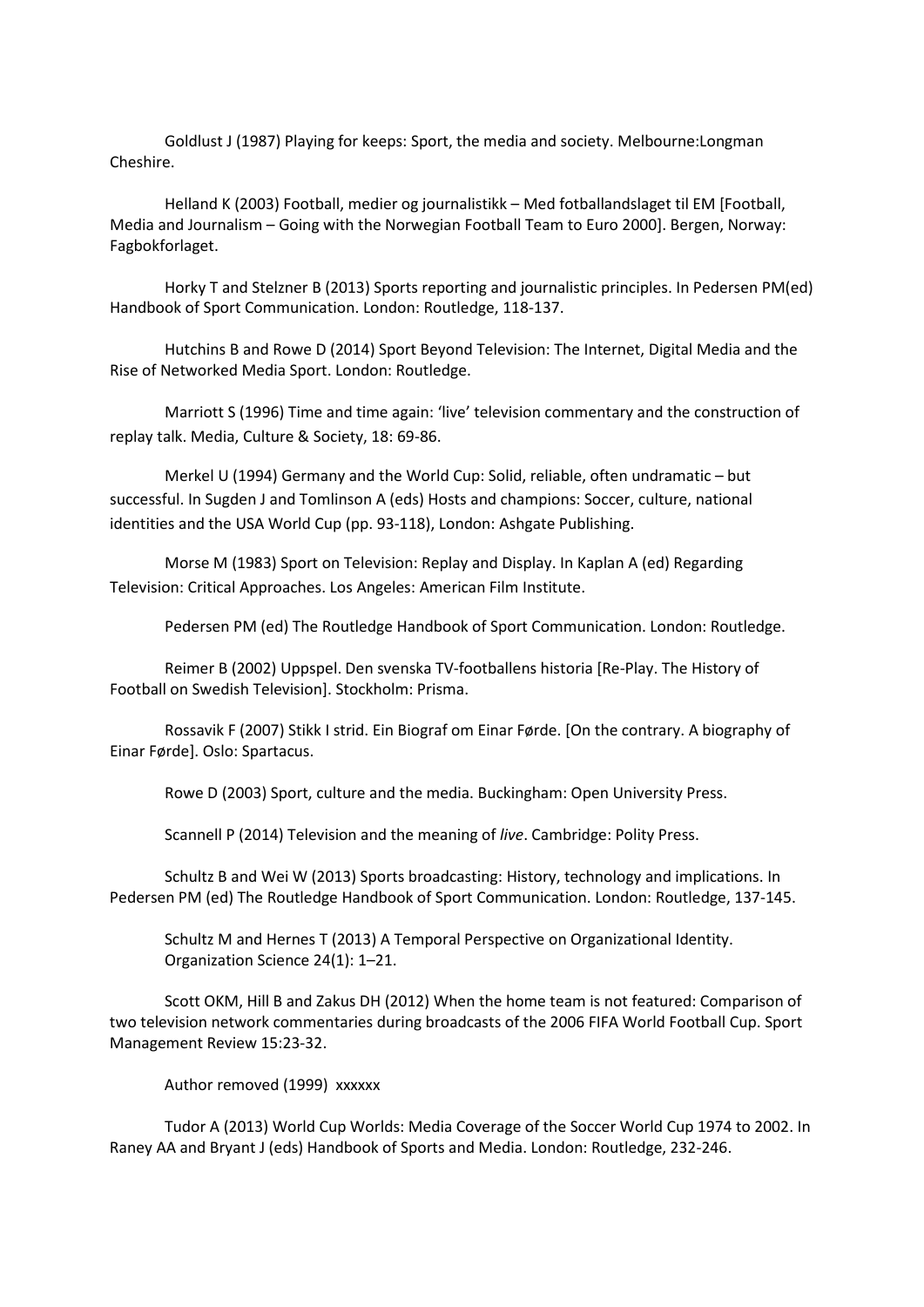Goldlust J (1987) Playing for keeps: Sport, the media and society. Melbourne:Longman Cheshire.

Helland K (2003) Football, medier og journalistikk – Med fotballandslaget til EM [Football, Media and Journalism – Going with the Norwegian Football Team to Euro 2000]. Bergen, Norway: Fagbokforlaget.

Horky T and Stelzner B (2013) Sports reporting and journalistic principles. In Pedersen PM(ed) Handbook of Sport Communication. London: Routledge, 118-137.

Hutchins B and Rowe D (2014) Sport Beyond Television: The Internet, Digital Media and the Rise of Networked Media Sport. London: Routledge.

Marriott S (1996) Time and time again: 'live' television commentary and the construction of replay talk. Media, Culture & Society, 18: 69-86.

Merkel U (1994) Germany and the World Cup: Solid, reliable, often undramatic – but successful. In Sugden J and Tomlinson A (eds) Hosts and champions: Soccer, culture, national identities and the USA World Cup (pp. 93-118), London: Ashgate Publishing.

Morse M (1983) Sport on Television: Replay and Display. In Kaplan A (ed) Regarding Television: Critical Approaches. Los Angeles: American Film Institute.

Pedersen PM (ed) The Routledge Handbook of Sport Communication. London: Routledge.

Reimer B (2002) Uppspel. Den svenska TV-footballens historia [Re-Play. The History of Football on Swedish Television]. Stockholm: Prisma.

Rossavik F (2007) Stikk I strid. Ein Biograf om Einar Førde. [On the contrary. A biography of Einar Førde]. Oslo: Spartacus.

Rowe D (2003) Sport, culture and the media. Buckingham: Open University Press.

Scannell P (2014) Television and the meaning of *live*. Cambridge: Polity Press.

Schultz B and Wei W (2013) Sports broadcasting: History, technology and implications. In Pedersen PM (ed) The Routledge Handbook of Sport Communication. London: Routledge, 137-145.

Schultz M and Hernes T (2013) A Temporal Perspective on Organizational Identity. Organization Science 24(1): 1–21.

Scott OKM, Hill B and Zakus DH (2012) When the home team is not featured: Comparison of two television network commentaries during broadcasts of the 2006 FIFA World Football Cup. Sport Management Review 15:23-32.

Author removed (1999) xxxxxx

Tudor A (2013) World Cup Worlds: Media Coverage of the Soccer World Cup 1974 to 2002. In Raney AA and Bryant J (eds) Handbook of Sports and Media. London: Routledge, 232-246.